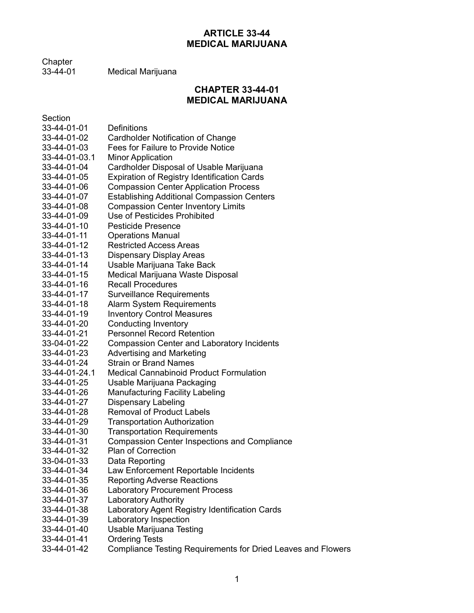# **ARTICLE 33-44 MEDICAL MARIJUANA**

Chapter<br>33-44-01

Medical Marijuana

# **CHAPTER 33-44-01 MEDICAL MARIJUANA**

| Section       |                                                              |
|---------------|--------------------------------------------------------------|
| 33-44-01-01   | <b>Definitions</b>                                           |
| 33-44-01-02   | <b>Cardholder Notification of Change</b>                     |
| 33-44-01-03   | Fees for Failure to Provide Notice                           |
| 33-44-01-03.1 | <b>Minor Application</b>                                     |
| 33-44-01-04   | Cardholder Disposal of Usable Marijuana                      |
| 33-44-01-05   | <b>Expiration of Registry Identification Cards</b>           |
| 33-44-01-06   | <b>Compassion Center Application Process</b>                 |
| 33-44-01-07   | <b>Establishing Additional Compassion Centers</b>            |
| 33-44-01-08   | <b>Compassion Center Inventory Limits</b>                    |
| 33-44-01-09   | Use of Pesticides Prohibited                                 |
| 33-44-01-10   | <b>Pesticide Presence</b>                                    |
| 33-44-01-11   | <b>Operations Manual</b>                                     |
| 33-44-01-12   | <b>Restricted Access Areas</b>                               |
| 33-44-01-13   | <b>Dispensary Display Areas</b>                              |
| 33-44-01-14   | Usable Marijuana Take Back                                   |
| 33-44-01-15   | Medical Marijuana Waste Disposal                             |
| 33-44-01-16   | <b>Recall Procedures</b>                                     |
| 33-44-01-17   | <b>Surveillance Requirements</b>                             |
| 33-44-01-18   | Alarm System Requirements                                    |
| 33-44-01-19   | <b>Inventory Control Measures</b>                            |
| 33-44-01-20   | <b>Conducting Inventory</b>                                  |
| 33-44-01-21   | <b>Personnel Record Retention</b>                            |
| 33-04-01-22   | <b>Compassion Center and Laboratory Incidents</b>            |
| 33-44-01-23   | <b>Advertising and Marketing</b>                             |
| 33-44-01-24   | <b>Strain or Brand Names</b>                                 |
| 33-44-01-24.1 | <b>Medical Cannabinoid Product Formulation</b>               |
| 33-44-01-25   | Usable Marijuana Packaging                                   |
| 33-44-01-26   | <b>Manufacturing Facility Labeling</b>                       |
| 33-44-01-27   | <b>Dispensary Labeling</b>                                   |
| 33-44-01-28   | <b>Removal of Product Labels</b>                             |
| 33-44-01-29   | <b>Transportation Authorization</b>                          |
| 33-44-01-30   | <b>Transportation Requirements</b>                           |
| 33-44-01-31   | <b>Compassion Center Inspections and Compliance</b>          |
| 33-44-01-32   | <b>Plan of Correction</b>                                    |
| 33-04-01-33   | Data Reporting                                               |
| 33-44-01-34   | Law Enforcement Reportable Incidents                         |
| 33-44-01-35   | <b>Reporting Adverse Reactions</b>                           |
| 33-44-01-36   | <b>Laboratory Procurement Process</b>                        |
| 33-44-01-37   | <b>Laboratory Authority</b>                                  |
| 33-44-01-38   | Laboratory Agent Registry Identification Cards               |
| 33-44-01-39   | Laboratory Inspection                                        |
| 33-44-01-40   | Usable Marijuana Testing                                     |
| 33-44-01-41   | <b>Ordering Tests</b>                                        |
| 33-44-01-42   | Compliance Testing Requirements for Dried Leaves and Flowers |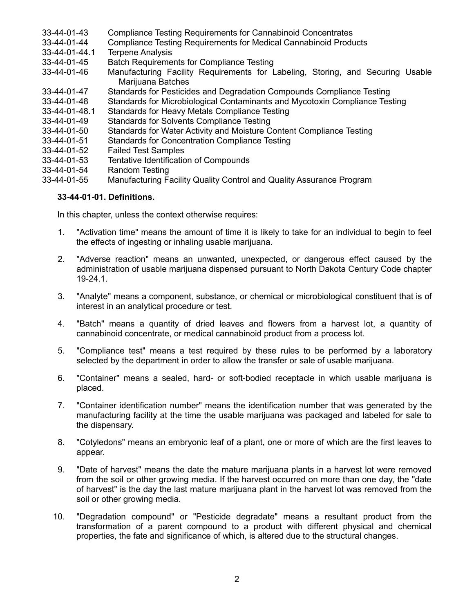- 33-44-01-43 Compliance Testing Requirements for Cannabinoid Concentrates
- 33-44-01-44 Compliance Testing Requirements for Medical Cannabinoid Products
- **Terpene Analysis**
- 33-44-01-45 Batch Requirements for Compliance Testing
- 33-44-01-46 Manufacturing Facility Requirements for Labeling, Storing, and Securing Usable Mariiuana Batches
- 33-44-01-47 Standards for Pesticides and Degradation Compounds Compliance Testing
- 33-44-01-48 Standards for Microbiological Contaminants and Mycotoxin Compliance Testing
- 33-44-01-48.1 Standards for Heavy Metals Compliance Testing
- 33-44-01-49 Standards for Solvents Compliance Testing
- 33-44-01-50 Standards for Water Activity and Moisture Content Compliance Testing
- 33-44-01-51 Standards for Concentration Compliance Testing
- **Failed Test Samples**
- 33-44-01-53 Tentative Identification of Compounds
- 33-44-01-54 Random Testing
- 33-44-01-55 Manufacturing Facility Quality Control and Quality Assurance Program

### **33-44-01-01. Definitions.**

In this chapter, unless the context otherwise requires:

- 1. "Activation time" means the amount of time it is likely to take for an individual to begin to feel the effects of ingesting or inhaling usable marijuana.
- 2. "Adverse reaction" means an unwanted, unexpected, or dangerous effect caused by the administration of usable marijuana dispensed pursuant to North Dakota Century Code chapter 19-24.1.
- 3. "Analyte" means a component, substance, or chemical or microbiological constituent that is of interest in an analytical procedure or test.
- 4. "Batch" means a quantity of dried leaves and flowers from a harvest lot, a quantity of cannabinoid concentrate, or medical cannabinoid product from a process lot.
- 5. "Compliance test" means a test required by these rules to be performed by a laboratory selected by the department in order to allow the transfer or sale of usable marijuana.
- 6. "Container" means a sealed, hard- or soft-bodied receptacle in which usable marijuana is placed.
- 7. "Container identification number" means the identification number that was generated by the manufacturing facility at the time the usable marijuana was packaged and labeled for sale to the dispensary.
- 8. "Cotyledons" means an embryonic leaf of a plant, one or more of which are the first leaves to appear.
- 9. "Date of harvest" means the date the mature marijuana plants in a harvest lot were removed from the soil or other growing media. If the harvest occurred on more than one day, the "date of harvest" is the day the last mature marijuana plant in the harvest lot was removed from the soil or other growing media.
- 10. "Degradation compound" or "Pesticide degradate" means a resultant product from the transformation of a parent compound to a product with different physical and chemical properties, the fate and significance of which, is altered due to the structural changes.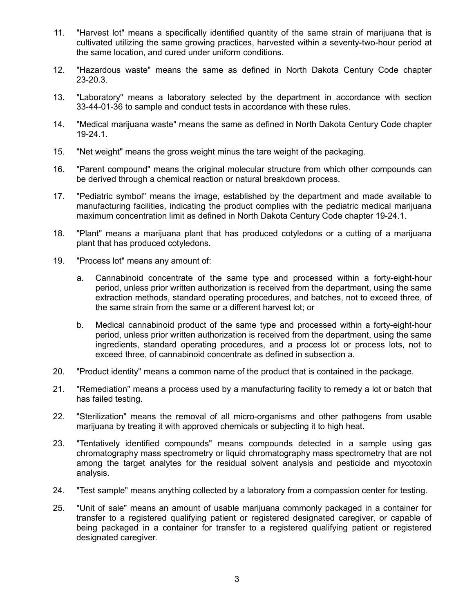- 11. "Harvest lot" means a specifically identified quantity of the same strain of marijuana that is cultivated utilizing the same growing practices, harvested within a seventy-two-hour period at the same location, and cured under uniform conditions.
- 12. "Hazardous waste" means the same as defined in North Dakota Century Code chapter 23-20.3.
- 13. "Laboratory" means a laboratory selected by the department in accordance with section 33-44-01-36 to sample and conduct tests in accordance with these rules.
- 14. "Medical marijuana waste" means the same as defined in North Dakota Century Code chapter 19-24.1.
- 15. "Net weight" means the gross weight minus the tare weight of the packaging.
- 16. "Parent compound" means the original molecular structure from which other compounds can be derived through a chemical reaction or natural breakdown process.
- 17. "Pediatric symbol" means the image, established by the department and made available to manufacturing facilities, indicating the product complies with the pediatric medical marijuana maximum concentration limit as defined in North Dakota Century Code chapter 19-24.1.
- 18. "Plant" means a marijuana plant that has produced cotyledons or a cutting of a marijuana plant that has produced cotyledons.
- 19. "Process lot" means any amount of:
	- a. Cannabinoid concentrate of the same type and processed within a forty-eight-hour period, unless prior written authorization is received from the department, using the same extraction methods, standard operating procedures, and batches, not to exceed three, of the same strain from the same or a different harvest lot; or
	- b. Medical cannabinoid product of the same type and processed within a forty-eight-hour period, unless prior written authorization is received from the department, using the same ingredients, standard operating procedures, and a process lot or process lots, not to exceed three, of cannabinoid concentrate as defined in subsection a.
- 20. "Product identity" means a common name of the product that is contained in the package.
- 21. "Remediation" means a process used by a manufacturing facility to remedy a lot or batch that has failed testing.
- 22. "Sterilization" means the removal of all micro-organisms and other pathogens from usable marijuana by treating it with approved chemicals or subjecting it to high heat.
- 23. "Tentatively identified compounds" means compounds detected in a sample using gas chromatography mass spectrometry or liquid chromatography mass spectrometry that are not among the target analytes for the residual solvent analysis and pesticide and mycotoxin analysis.
- 24. "Test sample" means anything collected by a laboratory from a compassion center for testing.
- 25. "Unit of sale" means an amount of usable marijuana commonly packaged in a container for transfer to a registered qualifying patient or registered designated caregiver, or capable of being packaged in a container for transfer to a registered qualifying patient or registered designated caregiver.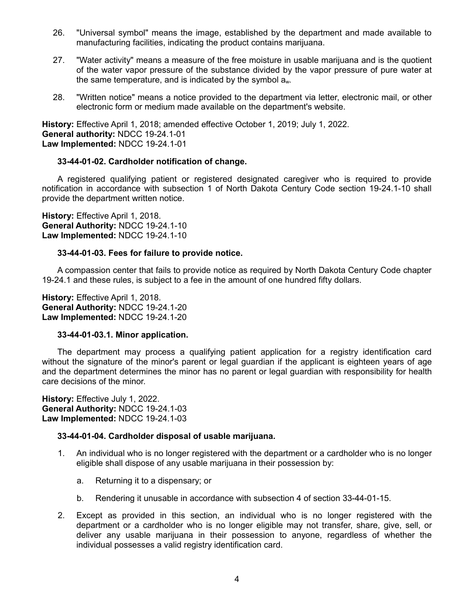- 26. "Universal symbol" means the image, established by the department and made available to manufacturing facilities, indicating the product contains marijuana.
- 27. "Water activity" means a measure of the free moisture in usable marijuana and is the quotient of the water vapor pressure of the substance divided by the vapor pressure of pure water at the same temperature, and is indicated by the symbol aw.
- 28. "Written notice" means a notice provided to the department via letter, electronic mail, or other electronic form or medium made available on the department's website.

**History:** Effective April 1, 2018; amended effective October 1, 2019; July 1, 2022. **General authority:** NDCC 19-24.1-01 **Law Implemented:** NDCC 19-24.1-01

# **33-44-01-02. Cardholder notification of change.**

A registered qualifying patient or registered designated caregiver who is required to provide notification in accordance with subsection 1 of North Dakota Century Code section 19-24.1-10 shall provide the department written notice.

**History:** Effective April 1, 2018. **General Authority:** NDCC 19-24.1-10 **Law Implemented:** NDCC 19-24.1-10

#### **33-44-01-03. Fees for failure to provide notice.**

A compassion center that fails to provide notice as required by North Dakota Century Code chapter 19-24.1 and these rules, is subject to a fee in the amount of one hundred fifty dollars.

**History:** Effective April 1, 2018. **General Authority:** NDCC 19-24.1-20 **Law Implemented:** NDCC 19-24.1-20

#### **33-44-01-03.1. Minor application.**

The department may process a qualifying patient application for a registry identification card without the signature of the minor's parent or legal guardian if the applicant is eighteen years of age and the department determines the minor has no parent or legal guardian with responsibility for health care decisions of the minor.

**History:** Effective July 1, 2022. **General Authority:** NDCC 19-24.1-03 **Law Implemented:** NDCC 19-24.1-03

#### **33-44-01-04. Cardholder disposal of usable marijuana.**

- 1. An individual who is no longer registered with the department or a cardholder who is no longer eligible shall dispose of any usable marijuana in their possession by:
	- a. Returning it to a dispensary; or
	- b. Rendering it unusable in accordance with subsection 4 of section 33-44-01-15.
- 2. Except as provided in this section, an individual who is no longer registered with the department or a cardholder who is no longer eligible may not transfer, share, give, sell, or deliver any usable marijuana in their possession to anyone, regardless of whether the individual possesses a valid registry identification card.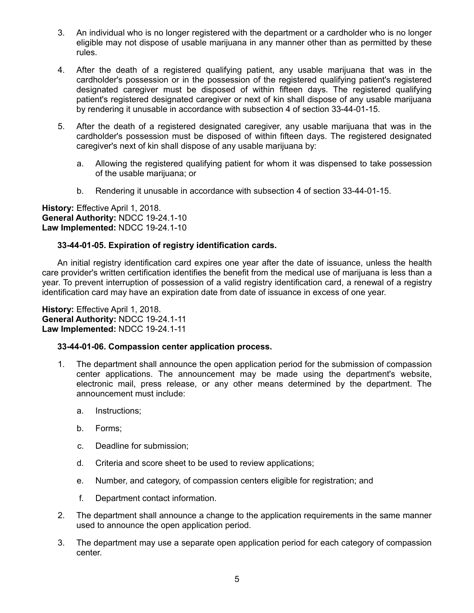- 3. An individual who is no longer registered with the department or a cardholder who is no longer eligible may not dispose of usable marijuana in any manner other than as permitted by these rules.
- 4. After the death of a registered qualifying patient, any usable marijuana that was in the cardholder's possession or in the possession of the registered qualifying patient's registered designated caregiver must be disposed of within fifteen days. The registered qualifying patient's registered designated caregiver or next of kin shall dispose of any usable marijuana by rendering it unusable in accordance with subsection 4 of section 33-44-01-15.
- 5. After the death of a registered designated caregiver, any usable marijuana that was in the cardholder's possession must be disposed of within fifteen days. The registered designated caregiver's next of kin shall dispose of any usable marijuana by:
	- a. Allowing the registered qualifying patient for whom it was dispensed to take possession of the usable marijuana; or
	- b. Rendering it unusable in accordance with subsection 4 of section 33-44-01-15.

# **33-44-01-05. Expiration of registry identification cards.**

An initial registry identification card expires one year after the date of issuance, unless the health care provider's written certification identifies the benefit from the medical use of marijuana is less than a year. To prevent interruption of possession of a valid registry identification card, a renewal of a registry identification card may have an expiration date from date of issuance in excess of one year.

**History:** Effective April 1, 2018. **General Authority:** NDCC 19-24.1-11 **Law Implemented:** NDCC 19-24.1-11

# **33-44-01-06. Compassion center application process.**

- 1. The department shall announce the open application period for the submission of compassion center applications. The announcement may be made using the department's website, electronic mail, press release, or any other means determined by the department. The announcement must include:
	- a. Instructions;
	- b. Forms;
	- c. Deadline for submission;
	- d. Criteria and score sheet to be used to review applications;
	- e. Number, and category, of compassion centers eligible for registration; and
	- f. Department contact information.
- 2. The department shall announce a change to the application requirements in the same manner used to announce the open application period.
- 3. The department may use a separate open application period for each category of compassion center.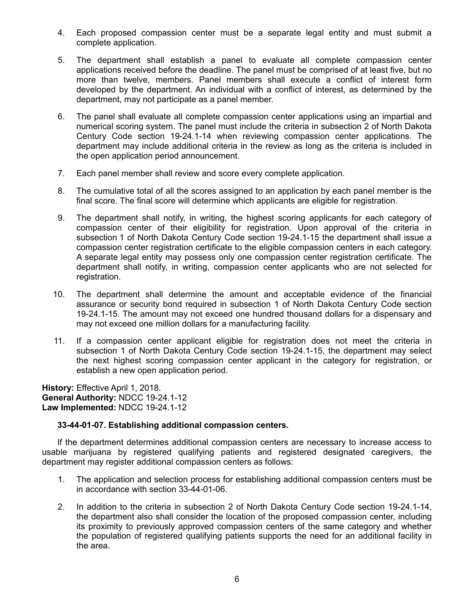- 4. Each proposed compassion center must be a separate legal entity and must submit a complete application.
- 5. The department shall establish a panel to evaluate all complete compassion center applications received before the deadline. The panel must be comprised of at least five, but no more than twelve, members. Panel members shall execute a conflict of interest form developed by the department. An individual with a conflict of interest, as determined by the department, may not participate as a panel member.
- 6. The panel shall evaluate all complete compassion center applications using an impartial and numerical scoring system. The panel must include the criteria in subsection 2 of North Dakota Century Code section 19-24.1-14 when reviewing compassion center applications. The department may include additional criteria in the review as long as the criteria is included in the open application period announcement.
- 7. Each panel member shall review and score every complete application.
- 8. The cumulative total of all the scores assigned to an application by each panel member is the final score. The final score will determine which applicants are eligible for registration.
- 9. The department shall notify, in writing, the highest scoring applicants for each category of compassion center of their eligibility for registration. Upon approval of the criteria in subsection 1 of North Dakota Century Code section 19-24.1-15 the department shall issue a compassion center registration certificate to the eligible compassion centers in each category. A separate legal entity may possess only one compassion center registration certificate. The department shall notify, in writing, compassion center applicants who are not selected for registration.
- 10. The department shall determine the amount and acceptable evidence of the financial assurance or security bond required in subsection 1 of North Dakota Century Code section 19-24.1-15. The amount may not exceed one hundred thousand dollars for a dispensary and may not exceed one million dollars for a manufacturing facility.
- 11. If a compassion center applicant eligible for registration does not meet the criteria in subsection 1 of North Dakota Century Code section 19-24.1-15, the department may select the next highest scoring compassion center applicant in the category for registration, or establish a new open application period.

# **33-44-01-07. Establishing additional compassion centers.**

If the department determines additional compassion centers are necessary to increase access to usable marijuana by registered qualifying patients and registered designated caregivers, the department may register additional compassion centers as follows:

- 1. The application and selection process for establishing additional compassion centers must be in accordance with section 33-44-01-06.
- 2. In addition to the criteria in subsection 2 of North Dakota Century Code section 19-24.1-14, the department also shall consider the location of the proposed compassion center, including its proximity to previously approved compassion centers of the same category and whether the population of registered qualifying patients supports the need for an additional facility in the area.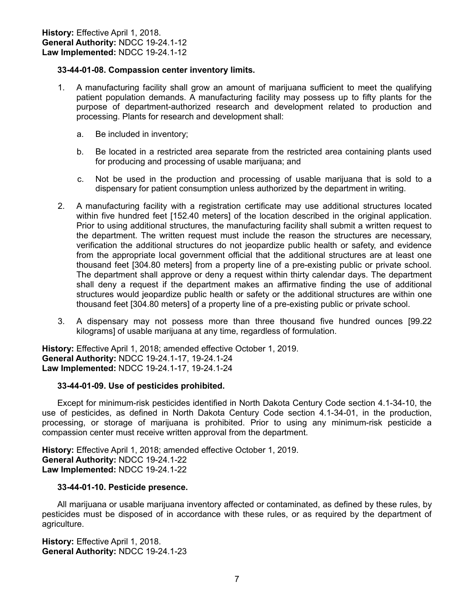### **33-44-01-08. Compassion center inventory limits.**

- 1. A manufacturing facility shall grow an amount of marijuana sufficient to meet the qualifying patient population demands. A manufacturing facility may possess up to fifty plants for the purpose of department-authorized research and development related to production and processing. Plants for research and development shall:
	- a. Be included in inventory;
	- b. Be located in a restricted area separate from the restricted area containing plants used for producing and processing of usable marijuana; and
	- c. Not be used in the production and processing of usable marijuana that is sold to a dispensary for patient consumption unless authorized by the department in writing.
- 2. A manufacturing facility with a registration certificate may use additional structures located within five hundred feet [152.40 meters] of the location described in the original application. Prior to using additional structures, the manufacturing facility shall submit a written request to the department. The written request must include the reason the structures are necessary, verification the additional structures do not jeopardize public health or safety, and evidence from the appropriate local government official that the additional structures are at least one thousand feet [304.80 meters] from a property line of a pre-existing public or private school. The department shall approve or deny a request within thirty calendar days. The department shall deny a request if the department makes an affirmative finding the use of additional structures would jeopardize public health or safety or the additional structures are within one thousand feet [304.80 meters] of a property line of a pre-existing public or private school.
- 3. A dispensary may not possess more than three thousand five hundred ounces [99.22 kilograms] of usable marijuana at any time, regardless of formulation.

**History:** Effective April 1, 2018; amended effective October 1, 2019. **General Authority:** NDCC 19-24.1-17, 19-24.1-24 **Law Implemented:** NDCC 19-24.1-17, 19-24.1-24

#### **33-44-01-09. Use of pesticides prohibited.**

Except for minimum-risk pesticides identified in North Dakota Century Code section 4.1-34-10, the use of pesticides, as defined in North Dakota Century Code section 4.1-34-01, in the production, processing, or storage of marijuana is prohibited. Prior to using any minimum-risk pesticide a compassion center must receive written approval from the department.

**History:** Effective April 1, 2018; amended effective October 1, 2019. **General Authority:** NDCC 19-24.1-22 **Law Implemented:** NDCC 19-24.1-22

#### **33-44-01-10. Pesticide presence.**

All marijuana or usable marijuana inventory affected or contaminated, as defined by these rules, by pesticides must be disposed of in accordance with these rules, or as required by the department of agriculture.

History: Effective April 1, 2018. **General Authority:** NDCC 19-24.1-23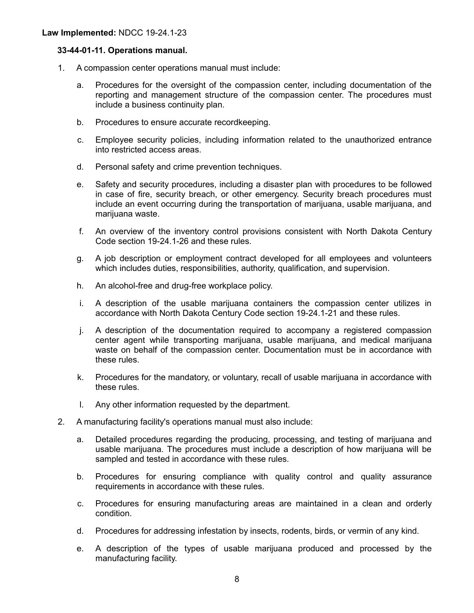### **33-44-01-11. Operations manual.**

- 1. A compassion center operations manual must include:
	- a. Procedures for the oversight of the compassion center, including documentation of the reporting and management structure of the compassion center. The procedures must include a business continuity plan.
	- b. Procedures to ensure accurate recordkeeping.
	- c. Employee security policies, including information related to the unauthorized entrance into restricted access areas.
	- d. Personal safety and crime prevention techniques.
	- e. Safety and security procedures, including a disaster plan with procedures to be followed in case of fire, security breach, or other emergency. Security breach procedures must include an event occurring during the transportation of marijuana, usable marijuana, and marijuana waste.
	- f. An overview of the inventory control provisions consistent with North Dakota Century Code section 19-24.1-26 and these rules.
	- g. A job description or employment contract developed for all employees and volunteers which includes duties, responsibilities, authority, qualification, and supervision.
	- h. An alcohol-free and drug-free workplace policy.
	- i. A description of the usable marijuana containers the compassion center utilizes in accordance with North Dakota Century Code section 19-24.1-21 and these rules.
	- j. A description of the documentation required to accompany a registered compassion center agent while transporting marijuana, usable marijuana, and medical marijuana waste on behalf of the compassion center. Documentation must be in accordance with these rules.
	- k. Procedures for the mandatory, or voluntary, recall of usable marijuana in accordance with these rules.
	- l. Any other information requested by the department.
- 2. A manufacturing facility's operations manual must also include:
	- a. Detailed procedures regarding the producing, processing, and testing of marijuana and usable marijuana. The procedures must include a description of how marijuana will be sampled and tested in accordance with these rules.
	- b. Procedures for ensuring compliance with quality control and quality assurance requirements in accordance with these rules.
	- c. Procedures for ensuring manufacturing areas are maintained in a clean and orderly condition.
	- d. Procedures for addressing infestation by insects, rodents, birds, or vermin of any kind.
	- e. A description of the types of usable marijuana produced and processed by the manufacturing facility.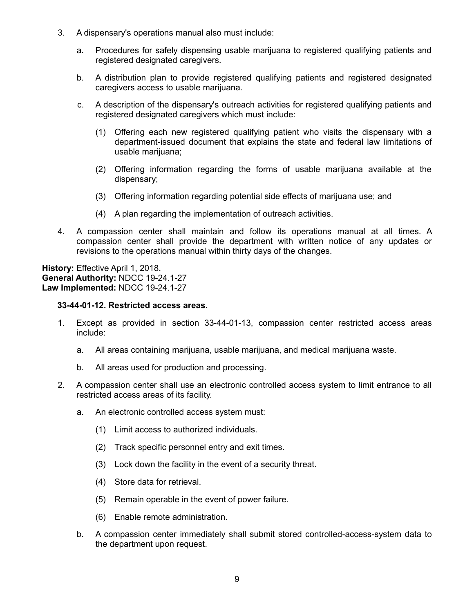- 3. A dispensary's operations manual also must include:
	- a. Procedures for safely dispensing usable marijuana to registered qualifying patients and registered designated caregivers.
	- b. A distribution plan to provide registered qualifying patients and registered designated caregivers access to usable marijuana.
	- c. A description of the dispensary's outreach activities for registered qualifying patients and registered designated caregivers which must include:
		- (1) Offering each new registered qualifying patient who visits the dispensary with a department-issued document that explains the state and federal law limitations of usable marijuana:
		- (2) Offering information regarding the forms of usable marijuana available at the dispensary;
		- (3) Offering information regarding potential side effects of marijuana use; and
		- (4) A plan regarding the implementation of outreach activities.
- 4. A compassion center shall maintain and follow its operations manual at all times. A compassion center shall provide the department with written notice of any updates or revisions to the operations manual within thirty days of the changes.

#### **33-44-01-12. Restricted access areas.**

- 1. Except as provided in section 33-44-01-13, compassion center restricted access areas include:
	- a. All areas containing marijuana, usable marijuana, and medical marijuana waste.
	- b. All areas used for production and processing.
- 2. A compassion center shall use an electronic controlled access system to limit entrance to all restricted access areas of its facility.
	- a. An electronic controlled access system must:
		- (1) Limit access to authorized individuals.
		- (2) Track specific personnel entry and exit times.
		- (3) Lock down the facility in the event of a security threat.
		- (4) Store data for retrieval.
		- (5) Remain operable in the event of power failure.
		- (6) Enable remote administration.
	- b. A compassion center immediately shall submit stored controlled-access-system data to the department upon request.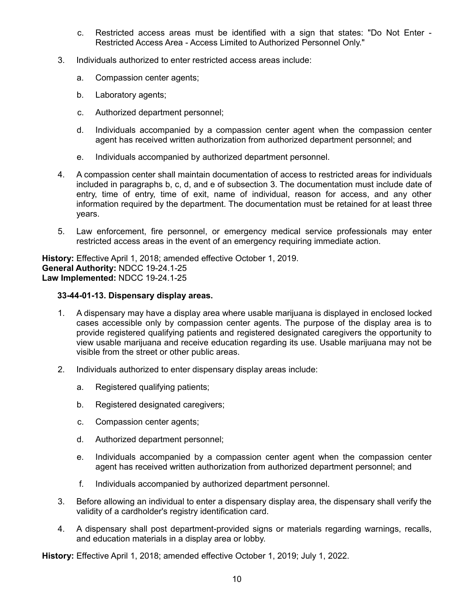- c. Restricted access areas must be identified with a sign that states: "Do Not Enter Restricted Access Area - Access Limited to Authorized Personnel Only."
- 3. Individuals authorized to enter restricted access areas include:
	- a. Compassion center agents;
	- b. Laboratory agents;
	- c. Authorized department personnel;
	- d. Individuals accompanied by a compassion center agent when the compassion center agent has received written authorization from authorized department personnel; and
	- e. Individuals accompanied by authorized department personnel.
- 4. A compassion center shall maintain documentation of access to restricted areas for individuals included in paragraphs b, c, d, and e of subsection 3. The documentation must include date of entry, time of entry, time of exit, name of individual, reason for access, and any other information required by the department. The documentation must be retained for at least three years.
- 5. Law enforcement, fire personnel, or emergency medical service professionals may enter restricted access areas in the event of an emergency requiring immediate action.

**History:** Effective April 1, 2018; amended effective October 1, 2019. **General Authority:** NDCC 19-24.1-25 **Law Implemented:** NDCC 19-24.1-25

# **33-44-01-13. Dispensary display areas.**

- 1. A dispensary may have a display area where usable marijuana is displayed in enclosed locked cases accessible only by compassion center agents. The purpose of the display area is to provide registered qualifying patients and registered designated caregivers the opportunity to view usable marijuana and receive education regarding its use. Usable marijuana may not be visible from the street or other public areas.
- 2. Individuals authorized to enter dispensary display areas include:
	- a. Registered qualifying patients;
	- b. Registered designated caregivers;
	- c. Compassion center agents;
	- d. Authorized department personnel;
	- e. Individuals accompanied by a compassion center agent when the compassion center agent has received written authorization from authorized department personnel; and
	- f. Individuals accompanied by authorized department personnel.
- 3. Before allowing an individual to enter a dispensary display area, the dispensary shall verify the validity of a cardholder's registry identification card.
- 4. A dispensary shall post department-provided signs or materials regarding warnings, recalls, and education materials in a display area or lobby.

**History:** Effective April 1, 2018; amended effective October 1, 2019; July 1, 2022.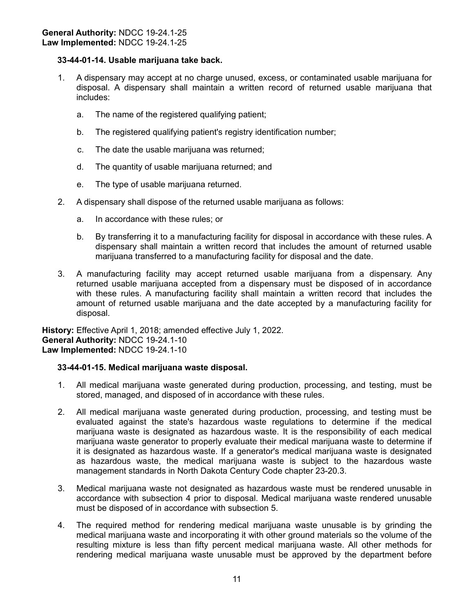# **33-44-01-14. Usable marijuana take back.**

- 1. A dispensary may accept at no charge unused, excess, or contaminated usable marijuana for disposal. A dispensary shall maintain a written record of returned usable marijuana that includes:
	- a. The name of the registered qualifying patient;
	- b. The registered qualifying patient's registry identification number;
	- c. The date the usable marijuana was returned;
	- d. The quantity of usable marijuana returned; and
	- e. The type of usable marijuana returned.
- 2. A dispensary shall dispose of the returned usable marijuana as follows:
	- a. In accordance with these rules; or
	- b. By transferring it to a manufacturing facility for disposal in accordance with these rules. A dispensary shall maintain a written record that includes the amount of returned usable marijuana transferred to a manufacturing facility for disposal and the date.
- 3. A manufacturing facility may accept returned usable marijuana from a dispensary. Any returned usable marijuana accepted from a dispensary must be disposed of in accordance with these rules. A manufacturing facility shall maintain a written record that includes the amount of returned usable marijuana and the date accepted by a manufacturing facility for disposal.

**History:** Effective April 1, 2018; amended effective July 1, 2022. **General Authority:** NDCC 19-24.1-10 **Law Implemented:** NDCC 19-24.1-10

# **33-44-01-15. Medical marijuana waste disposal.**

- 1. All medical marijuana waste generated during production, processing, and testing, must be stored, managed, and disposed of in accordance with these rules.
- 2. All medical marijuana waste generated during production, processing, and testing must be evaluated against the state's hazardous waste regulations to determine if the medical marijuana waste is designated as hazardous waste. It is the responsibility of each medical marijuana waste generator to properly evaluate their medical marijuana waste to determine if it is designated as hazardous waste. If a generator's medical marijuana waste is designated as hazardous waste, the medical marijuana waste is subject to the hazardous waste management standards in North Dakota Century Code chapter 23-20.3.
- 3. Medical marijuana waste not designated as hazardous waste must be rendered unusable in accordance with subsection 4 prior to disposal. Medical marijuana waste rendered unusable must be disposed of in accordance with subsection 5.
- 4. The required method for rendering medical marijuana waste unusable is by grinding the medical marijuana waste and incorporating it with other ground materials so the volume of the resulting mixture is less than fifty percent medical marijuana waste. All other methods for rendering medical marijuana waste unusable must be approved by the department before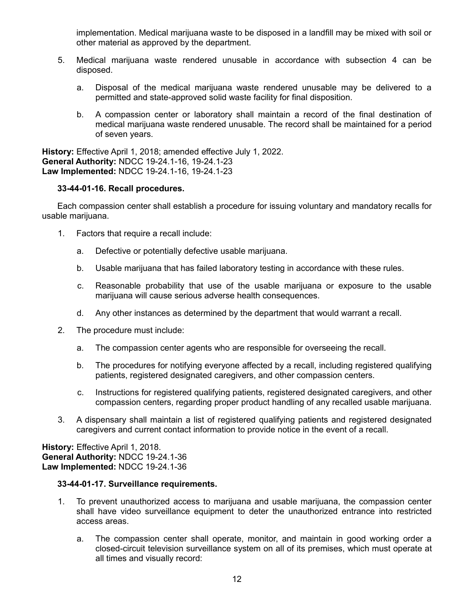implementation. Medical marijuana waste to be disposed in a landfill may be mixed with soil or other material as approved by the department.

- 5. Medical marijuana waste rendered unusable in accordance with subsection 4 can be disposed.
	- a. Disposal of the medical marijuana waste rendered unusable may be delivered to a permitted and state-approved solid waste facility for final disposition.
	- b. A compassion center or laboratory shall maintain a record of the final destination of medical marijuana waste rendered unusable. The record shall be maintained for a period of seven years.

**History:** Effective April 1, 2018; amended effective July 1, 2022. **General Authority:** NDCC 19-24.1-16, 19-24.1-23 **Law Implemented:** NDCC 19-24.1-16, 19-24.1-23

# **33-44-01-16. Recall procedures.**

Each compassion center shall establish a procedure for issuing voluntary and mandatory recalls for usable marijuana.

- 1. Factors that require a recall include:
	- a. Defective or potentially defective usable marijuana.
	- b. Usable marijuana that has failed laboratory testing in accordance with these rules.
	- c. Reasonable probability that use of the usable marijuana or exposure to the usable marijuana will cause serious adverse health consequences.
	- d. Any other instances as determined by the department that would warrant a recall.
- 2. The procedure must include:
	- a. The compassion center agents who are responsible for overseeing the recall.
	- b. The procedures for notifying everyone affected by a recall, including registered qualifying patients, registered designated caregivers, and other compassion centers.
	- c. Instructions for registered qualifying patients, registered designated caregivers, and other compassion centers, regarding proper product handling of any recalled usable marijuana.
- 3. A dispensary shall maintain a list of registered qualifying patients and registered designated caregivers and current contact information to provide notice in the event of a recall.

**History:** Effective April 1, 2018. **General Authority:** NDCC 19-24.1-36 **Law Implemented:** NDCC 19-24.1-36

# **33-44-01-17. Surveillance requirements.**

- 1. To prevent unauthorized access to marijuana and usable marijuana, the compassion center shall have video surveillance equipment to deter the unauthorized entrance into restricted access areas.
	- a. The compassion center shall operate, monitor, and maintain in good working order a closed-circuit television surveillance system on all of its premises, which must operate at all times and visually record: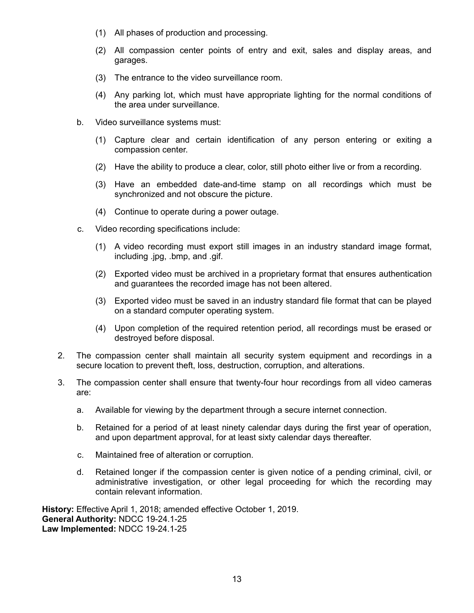- (1) All phases of production and processing.
- (2) All compassion center points of entry and exit, sales and display areas, and garages.
- (3) The entrance to the video surveillance room.
- (4) Any parking lot, which must have appropriate lighting for the normal conditions of the area under surveillance.
- b. Video surveillance systems must:
	- (1) Capture clear and certain identification of any person entering or exiting a compassion center.
	- (2) Have the ability to produce a clear, color, still photo either live or from a recording.
	- (3) Have an embedded date-and-time stamp on all recordings which must be synchronized and not obscure the picture.
	- (4) Continue to operate during a power outage.
- c. Video recording specifications include:
	- (1) A video recording must export still images in an industry standard image format, including .jpg, .bmp, and .gif.
	- (2) Exported video must be archived in a proprietary format that ensures authentication and guarantees the recorded image has not been altered.
	- (3) Exported video must be saved in an industry standard file format that can be played on a standard computer operating system.
	- (4) Upon completion of the required retention period, all recordings must be erased or destroyed before disposal.
- 2. The compassion center shall maintain all security system equipment and recordings in a secure location to prevent theft, loss, destruction, corruption, and alterations.
- 3. The compassion center shall ensure that twenty-four hour recordings from all video cameras are:
	- a. Available for viewing by the department through a secure internet connection.
	- b. Retained for a period of at least ninety calendar days during the first year of operation, and upon department approval, for at least sixty calendar days thereafter.
	- c. Maintained free of alteration or corruption.
	- d. Retained longer if the compassion center is given notice of a pending criminal, civil, or administrative investigation, or other legal proceeding for which the recording may contain relevant information.

**History:** Effective April 1, 2018; amended effective October 1, 2019. **General Authority:** NDCC 19-24.1-25 **Law Implemented:** NDCC 19-24.1-25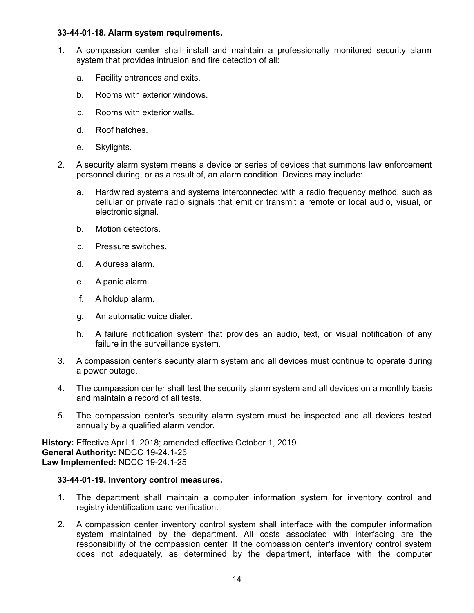### **33-44-01-18. Alarm system requirements.**

- 1. A compassion center shall install and maintain a professionally monitored security alarm system that provides intrusion and fire detection of all:
	- a. Facility entrances and exits.
	- b. Rooms with exterior windows.
	- c. Rooms with exterior walls.
	- d. Roof hatches.
	- e. Skylights.
- 2. A security alarm system means a device or series of devices that summons law enforcement personnel during, or as a result of, an alarm condition. Devices may include:
	- a. Hardwired systems and systems interconnected with a radio frequency method, such as cellular or private radio signals that emit or transmit a remote or local audio, visual, or electronic signal.
	- b. Motion detectors.
	- c. Pressure switches.
	- d. A duress alarm.
	- e. A panic alarm.
	- f. A holdup alarm.
	- g. An automatic voice dialer.
	- h. A failure notification system that provides an audio, text, or visual notification of any failure in the surveillance system.
- 3. A compassion center's security alarm system and all devices must continue to operate during a power outage.
- 4. The compassion center shall test the security alarm system and all devices on a monthly basis and maintain a record of all tests.
- 5. The compassion center's security alarm system must be inspected and all devices tested annually by a qualified alarm vendor.

**History:** Effective April 1, 2018; amended effective October 1, 2019. **General Authority:** NDCC 19-24.1-25 **Law Implemented:** NDCC 19-24.1-25

# **33-44-01-19. Inventory control measures.**

- 1. The department shall maintain a computer information system for inventory control and registry identification card verification.
- 2. A compassion center inventory control system shall interface with the computer information system maintained by the department. All costs associated with interfacing are the responsibility of the compassion center. If the compassion center's inventory control system does not adequately, as determined by the department, interface with the computer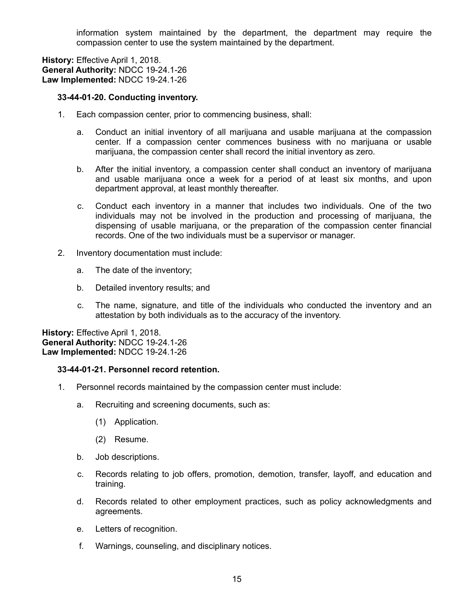information system maintained by the department, the department may require the compassion center to use the system maintained by the department.

**History:** Effective April 1, 2018. **General Authority:** NDCC 19-24.1-26 **Law Implemented:** NDCC 19-24.1-26

#### **33-44-01-20. Conducting inventory.**

- 1. Each compassion center, prior to commencing business, shall:
	- a. Conduct an initial inventory of all marijuana and usable marijuana at the compassion center. If a compassion center commences business with no marijuana or usable marijuana, the compassion center shall record the initial inventory as zero.
	- b. After the initial inventory, a compassion center shall conduct an inventory of marijuana and usable marijuana once a week for a period of at least six months, and upon department approval, at least monthly thereafter.
	- c. Conduct each inventory in a manner that includes two individuals. One of the two individuals may not be involved in the production and processing of marijuana, the dispensing of usable marijuana, or the preparation of the compassion center financial records. One of the two individuals must be a supervisor or manager.
- 2. Inventory documentation must include:
	- a. The date of the inventory;
	- b. Detailed inventory results; and
	- c. The name, signature, and title of the individuals who conducted the inventory and an attestation by both individuals as to the accuracy of the inventory.

**History:** Effective April 1, 2018. **General Authority:** NDCC 19-24.1-26 **Law Implemented:** NDCC 19-24.1-26

# **33-44-01-21. Personnel record retention.**

- 1. Personnel records maintained by the compassion center must include:
	- a. Recruiting and screening documents, such as:
		- (1) Application.
		- (2) Resume.
	- b. Job descriptions.
	- c. Records relating to job offers, promotion, demotion, transfer, layoff, and education and training.
	- d. Records related to other employment practices, such as policy acknowledgments and agreements.
	- e. Letters of recognition.
	- f. Warnings, counseling, and disciplinary notices.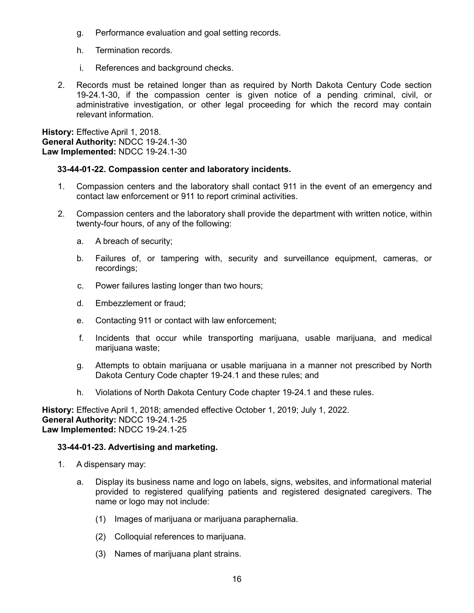- g. Performance evaluation and goal setting records.
- h. Termination records.
- i. References and background checks.
- 2. Records must be retained longer than as required by North Dakota Century Code section 19-24.1-30, if the compassion center is given notice of a pending criminal, civil, or administrative investigation, or other legal proceeding for which the record may contain relevant information.

### **33-44-01-22. Compassion center and laboratory incidents.**

- 1. Compassion centers and the laboratory shall contact 911 in the event of an emergency and contact law enforcement or 911 to report criminal activities.
- 2. Compassion centers and the laboratory shall provide the department with written notice, within twenty-four hours, of any of the following:
	- a. A breach of security;
	- b. Failures of, or tampering with, security and surveillance equipment, cameras, or recordings;
	- c. Power failures lasting longer than two hours;
	- d. Embezzlement or fraud;
	- e. Contacting 911 or contact with law enforcement;
	- f. Incidents that occur while transporting marijuana, usable marijuana, and medical marijuana waste;
	- g. Attempts to obtain marijuana or usable marijuana in a manner not prescribed by North Dakota Century Code chapter 19-24.1 and these rules; and
	- h. Violations of North Dakota Century Code chapter 19-24.1 and these rules.

**History:** Effective April 1, 2018; amended effective October 1, 2019; July 1, 2022. **General Authority:** NDCC 19-24.1-25 **Law Implemented:** NDCC 19-24.1-25

#### **33-44-01-23. Advertising and marketing.**

- 1. A dispensary may:
	- a. Display its business name and logo on labels, signs, websites, and informational material provided to registered qualifying patients and registered designated caregivers. The name or logo may not include:
		- (1) Images of marijuana or marijuana paraphernalia.
		- (2) Colloquial references to marijuana.
		- (3) Names of marijuana plant strains.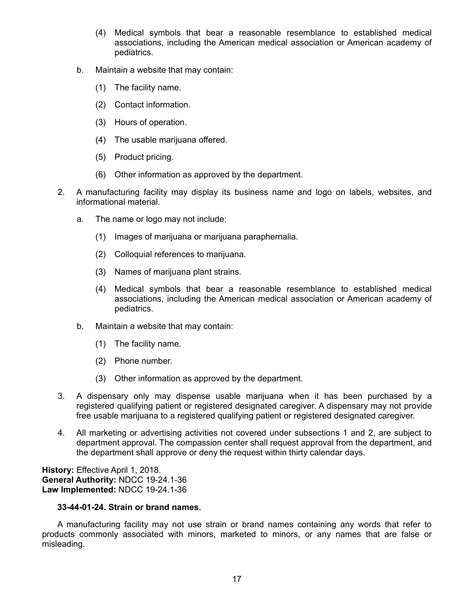- (4) Medical symbols that bear a reasonable resemblance to established medical associations, including the American medical association or American academy of pediatrics.
- b. Maintain a website that may contain:
	- (1) The facility name.
	- (2) Contact information.
	- (3) Hours of operation.
	- (4) The usable marijuana offered.
	- (5) Product pricing.
	- (6) Other information as approved by the department.
- 2. A manufacturing facility may display its business name and logo on labels, websites, and informational material.
	- a. The name or logo may not include:
		- (1) Images of marijuana or marijuana paraphernalia.
		- (2) Colloquial references to marijuana.
		- (3) Names of marijuana plant strains.
		- (4) Medical symbols that bear a reasonable resemblance to established medical associations, including the American medical association or American academy of pediatrics.
	- b. Maintain a website that may contain:
		- (1) The facility name.
		- (2) Phone number.
		- (3) Other information as approved by the department.
- 3. A dispensary only may dispense usable marijuana when it has been purchased by a registered qualifying patient or registered designated caregiver. A dispensary may not provide free usable marijuana to a registered qualifying patient or registered designated caregiver.
- 4. All marketing or advertising activities not covered under subsections 1 and 2, are subject to department approval. The compassion center shall request approval from the department, and the department shall approve or deny the request within thirty calendar days.

# **33-44-01-24. Strain or brand names.**

A manufacturing facility may not use strain or brand names containing any words that refer to products commonly associated with minors, marketed to minors, or any names that are false or misleading.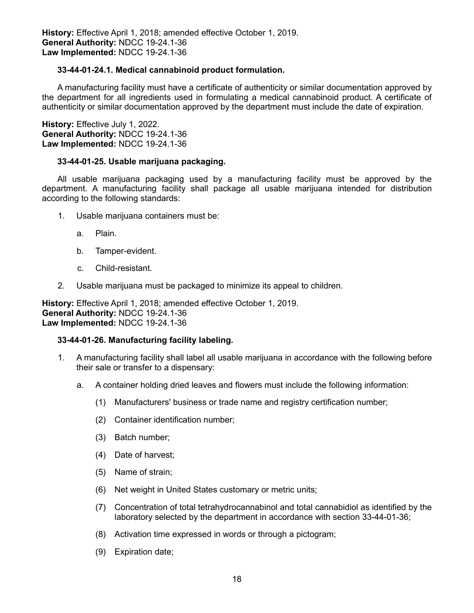# **33-44-01-24.1. Medical cannabinoid product formulation.**

A manufacturing facility must have a certificate of authenticity or similar documentation approved by the department for all ingredients used in formulating a medical cannabinoid product. A certificate of authenticity or similar documentation approved by the department must include the date of expiration.

**History:** Effective July 1, 2022. **General Authority:** NDCC 19-24.1-36 **Law Implemented:** NDCC 19-24.1-36

### **33-44-01-25. Usable marijuana packaging.**

All usable marijuana packaging used by a manufacturing facility must be approved by the department. A manufacturing facility shall package all usable marijuana intended for distribution according to the following standards:

- 1. Usable marijuana containers must be:
	- a. Plain.
	- b. Tamper-evident.
	- c. Child-resistant.
- 2. Usable marijuana must be packaged to minimize its appeal to children.

**History:** Effective April 1, 2018; amended effective October 1, 2019. **General Authority:** NDCC 19-24.1-36 **Law Implemented:** NDCC 19-24.1-36

#### **33-44-01-26. Manufacturing facility labeling.**

- 1. A manufacturing facility shall label all usable marijuana in accordance with the following before their sale or transfer to a dispensary:
	- a. A container holding dried leaves and flowers must include the following information:
		- (1) Manufacturers' business or trade name and registry certification number;
		- (2) Container identification number;
		- (3) Batch number;
		- (4) Date of harvest;
		- (5) Name of strain;
		- (6) Net weight in United States customary or metric units;
		- (7) Concentration of total tetrahydrocannabinol and total cannabidiol as identified by the laboratory selected by the department in accordance with section 33-44-01-36;
		- (8) Activation time expressed in words or through a pictogram;
		- (9) Expiration date;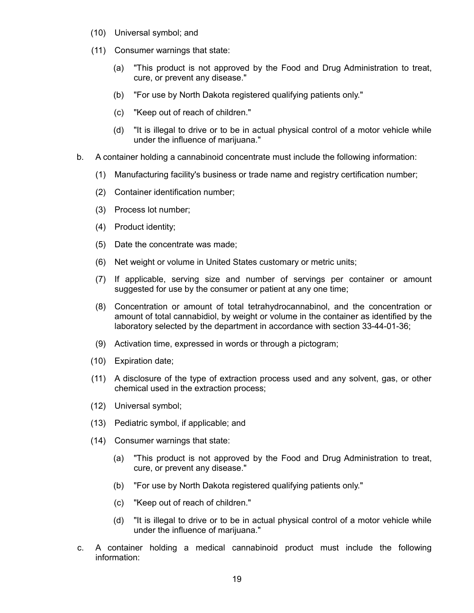- (10) Universal symbol; and
- (11) Consumer warnings that state:
	- (a) "This product is not approved by the Food and Drug Administration to treat, cure, or prevent any disease."
	- (b) "For use by North Dakota registered qualifying patients only."
	- (c) "Keep out of reach of children."
	- (d) "It is illegal to drive or to be in actual physical control of a motor vehicle while under the influence of marijuana."
- b. A container holding a cannabinoid concentrate must include the following information:
	- (1) Manufacturing facility's business or trade name and registry certification number;
	- (2) Container identification number;
	- (3) Process lot number;
	- (4) Product identity;
	- (5) Date the concentrate was made;
	- (6) Net weight or volume in United States customary or metric units;
	- (7) If applicable, serving size and number of servings per container or amount suggested for use by the consumer or patient at any one time;
	- (8) Concentration or amount of total tetrahydrocannabinol, and the concentration or amount of total cannabidiol, by weight or volume in the container as identified by the laboratory selected by the department in accordance with section 33-44-01-36;
	- (9) Activation time, expressed in words or through a pictogram;
	- (10) Expiration date;
	- (11) A disclosure of the type of extraction process used and any solvent, gas, or other chemical used in the extraction process;
	- (12) Universal symbol;
	- (13) Pediatric symbol, if applicable; and
	- (14) Consumer warnings that state:
		- (a) "This product is not approved by the Food and Drug Administration to treat, cure, or prevent any disease."
		- (b) "For use by North Dakota registered qualifying patients only."
		- (c) "Keep out of reach of children."
		- (d) "It is illegal to drive or to be in actual physical control of a motor vehicle while under the influence of marijuana."
- c. A container holding a medical cannabinoid product must include the following information: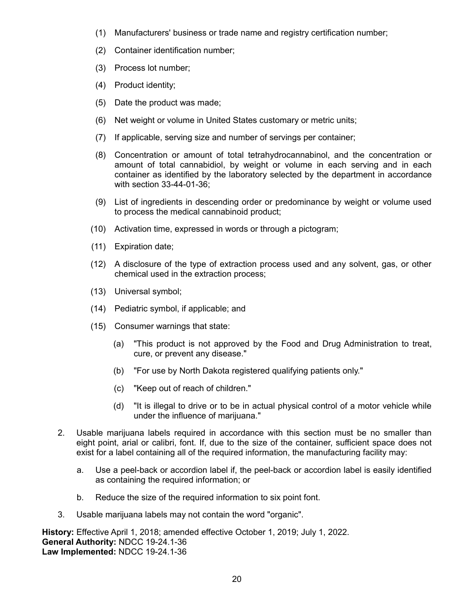- (1) Manufacturers' business or trade name and registry certification number;
- (2) Container identification number;
- (3) Process lot number;
- (4) Product identity;
- (5) Date the product was made;
- (6) Net weight or volume in United States customary or metric units;
- (7) If applicable, serving size and number of servings per container;
- (8) Concentration or amount of total tetrahydrocannabinol, and the concentration or amount of total cannabidiol, by weight or volume in each serving and in each container as identified by the laboratory selected by the department in accordance with section 33-44-01-36;
- (9) List of ingredients in descending order or predominance by weight or volume used to process the medical cannabinoid product;
- (10) Activation time, expressed in words or through a pictogram;
- (11) Expiration date;
- (12) A disclosure of the type of extraction process used and any solvent, gas, or other chemical used in the extraction process;
- (13) Universal symbol;
- (14) Pediatric symbol, if applicable; and
- (15) Consumer warnings that state:
	- (a) "This product is not approved by the Food and Drug Administration to treat, cure, or prevent any disease."
	- (b) "For use by North Dakota registered qualifying patients only."
	- (c) "Keep out of reach of children."
	- (d) "It is illegal to drive or to be in actual physical control of a motor vehicle while under the influence of marijuana."
- 2. Usable marijuana labels required in accordance with this section must be no smaller than eight point, arial or calibri, font. If, due to the size of the container, sufficient space does not exist for a label containing all of the required information, the manufacturing facility may:
	- a. Use a peel-back or accordion label if, the peel-back or accordion label is easily identified as containing the required information; or
	- b. Reduce the size of the required information to six point font.
- 3. Usable marijuana labels may not contain the word "organic".

**History:** Effective April 1, 2018; amended effective October 1, 2019; July 1, 2022. **General Authority:** NDCC 19-24.1-36 **Law Implemented:** NDCC 19-24.1-36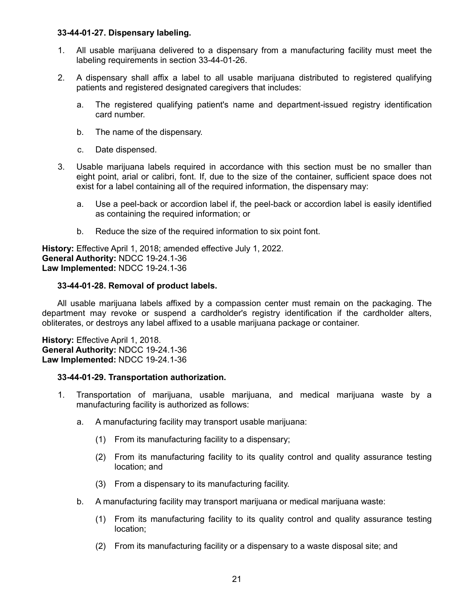### **33-44-01-27. Dispensary labeling.**

- 1. All usable marijuana delivered to a dispensary from a manufacturing facility must meet the labeling requirements in section 33-44-01-26.
- 2. A dispensary shall affix a label to all usable marijuana distributed to registered qualifying patients and registered designated caregivers that includes:
	- a. The registered qualifying patient's name and department-issued registry identification card number.
	- b. The name of the dispensary.
	- c. Date dispensed.
- 3. Usable marijuana labels required in accordance with this section must be no smaller than eight point, arial or calibri, font. If, due to the size of the container, sufficient space does not exist for a label containing all of the required information, the dispensary may:
	- a. Use a peel-back or accordion label if, the peel-back or accordion label is easily identified as containing the required information; or
	- b. Reduce the size of the required information to six point font.

**History:** Effective April 1, 2018; amended effective July 1, 2022. **General Authority:** NDCC 19-24.1-36 **Law Implemented:** NDCC 19-24.1-36

# **33-44-01-28. Removal of product labels.**

All usable marijuana labels affixed by a compassion center must remain on the packaging. The department may revoke or suspend a cardholder's registry identification if the cardholder alters, obliterates, or destroys any label affixed to a usable marijuana package or container.

**History:** Effective April 1, 2018. **General Authority:** NDCC 19-24.1-36 **Law Implemented:** NDCC 19-24.1-36

#### **33-44-01-29. Transportation authorization.**

- 1. Transportation of marijuana, usable marijuana, and medical marijuana waste by a manufacturing facility is authorized as follows:
	- a. A manufacturing facility may transport usable marijuana:
		- (1) From its manufacturing facility to a dispensary;
		- (2) From its manufacturing facility to its quality control and quality assurance testing location; and
		- (3) From a dispensary to its manufacturing facility.
	- b. A manufacturing facility may transport marijuana or medical marijuana waste:
		- (1) From its manufacturing facility to its quality control and quality assurance testing location;
		- (2) From its manufacturing facility or a dispensary to a waste disposal site; and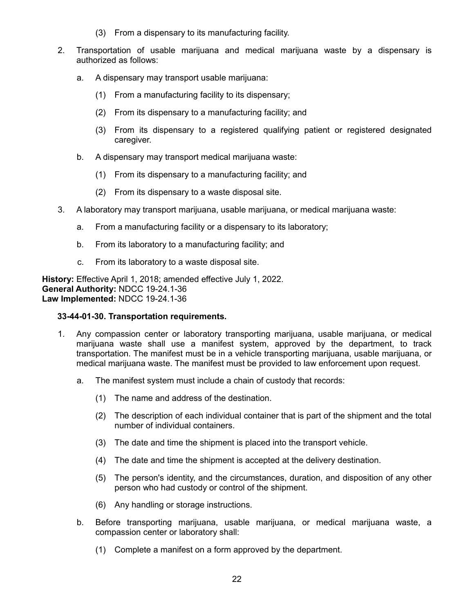- (3) From a dispensary to its manufacturing facility.
- 2. Transportation of usable marijuana and medical marijuana waste by a dispensary is authorized as follows:
	- a. A dispensary may transport usable marijuana:
		- (1) From a manufacturing facility to its dispensary;
		- (2) From its dispensary to a manufacturing facility; and
		- (3) From its dispensary to a registered qualifying patient or registered designated caregiver.
	- b. A dispensary may transport medical marijuana waste:
		- (1) From its dispensary to a manufacturing facility; and
		- (2) From its dispensary to a waste disposal site.
- 3. A laboratory may transport marijuana, usable marijuana, or medical marijuana waste:
	- a. From a manufacturing facility or a dispensary to its laboratory;
	- b. From its laboratory to a manufacturing facility; and
	- c. From its laboratory to a waste disposal site.

**History:** Effective April 1, 2018; amended effective July 1, 2022. **General Authority:** NDCC 19-24.1-36 **Law Implemented:** NDCC 19-24.1-36

# **33-44-01-30. Transportation requirements.**

- 1. Any compassion center or laboratory transporting marijuana, usable marijuana, or medical marijuana waste shall use a manifest system, approved by the department, to track transportation. The manifest must be in a vehicle transporting marijuana, usable marijuana, or medical marijuana waste. The manifest must be provided to law enforcement upon request.
	- a. The manifest system must include a chain of custody that records:
		- (1) The name and address of the destination.
		- (2) The description of each individual container that is part of the shipment and the total number of individual containers.
		- (3) The date and time the shipment is placed into the transport vehicle.
		- (4) The date and time the shipment is accepted at the delivery destination.
		- (5) The person's identity, and the circumstances, duration, and disposition of any other person who had custody or control of the shipment.
		- (6) Any handling or storage instructions.
	- b. Before transporting marijuana, usable marijuana, or medical marijuana waste, a compassion center or laboratory shall:
		- (1) Complete a manifest on a form approved by the department.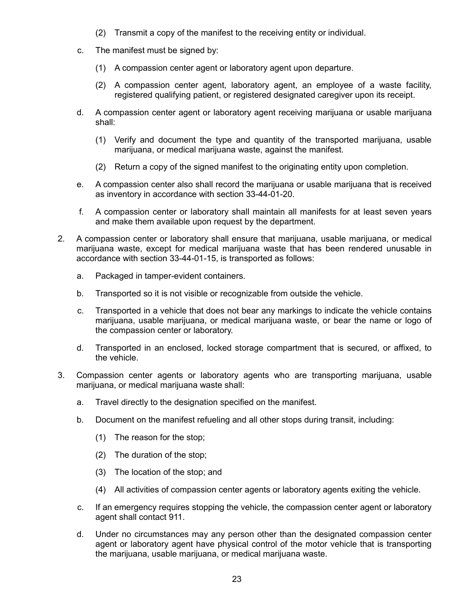- (2) Transmit a copy of the manifest to the receiving entity or individual.
- c. The manifest must be signed by:
	- (1) A compassion center agent or laboratory agent upon departure.
	- (2) A compassion center agent, laboratory agent, an employee of a waste facility, registered qualifying patient, or registered designated caregiver upon its receipt.
- d. A compassion center agent or laboratory agent receiving marijuana or usable marijuana shall:
	- (1) Verify and document the type and quantity of the transported marijuana, usable marijuana, or medical marijuana waste, against the manifest.
	- (2) Return a copy of the signed manifest to the originating entity upon completion.
- e. A compassion center also shall record the marijuana or usable marijuana that is received as inventory in accordance with section 33-44-01-20.
- f. A compassion center or laboratory shall maintain all manifests for at least seven years and make them available upon request by the department.
- 2. A compassion center or laboratory shall ensure that marijuana, usable marijuana, or medical marijuana waste, except for medical marijuana waste that has been rendered unusable in accordance with section 33-44-01-15, is transported as follows:
	- a. Packaged in tamper-evident containers.
	- b. Transported so it is not visible or recognizable from outside the vehicle.
	- c. Transported in a vehicle that does not bear any markings to indicate the vehicle contains marijuana, usable marijuana, or medical marijuana waste, or bear the name or logo of the compassion center or laboratory.
	- d. Transported in an enclosed, locked storage compartment that is secured, or affixed, to the vehicle.
- 3. Compassion center agents or laboratory agents who are transporting marijuana, usable marijuana, or medical marijuana waste shall:
	- a. Travel directly to the designation specified on the manifest.
	- b. Document on the manifest refueling and all other stops during transit, including:
		- (1) The reason for the stop;
		- (2) The duration of the stop;
		- (3) The location of the stop; and
		- (4) All activities of compassion center agents or laboratory agents exiting the vehicle.
	- c. If an emergency requires stopping the vehicle, the compassion center agent or laboratory agent shall contact 911.
	- d. Under no circumstances may any person other than the designated compassion center agent or laboratory agent have physical control of the motor vehicle that is transporting the marijuana, usable marijuana, or medical marijuana waste.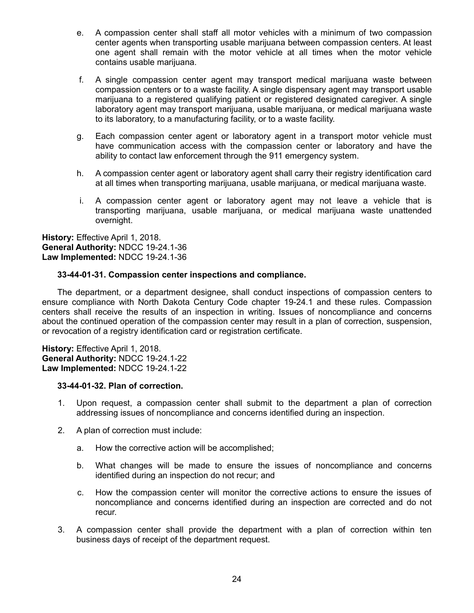- e. A compassion center shall staff all motor vehicles with a minimum of two compassion center agents when transporting usable marijuana between compassion centers. At least one agent shall remain with the motor vehicle at all times when the motor vehicle contains usable marijuana.
- f. A single compassion center agent may transport medical marijuana waste between compassion centers or to a waste facility. A single dispensary agent may transport usable marijuana to a registered qualifying patient or registered designated caregiver. A single laboratory agent may transport marijuana, usable marijuana, or medical marijuana waste to its laboratory, to a manufacturing facility, or to a waste facility.
- g. Each compassion center agent or laboratory agent in a transport motor vehicle must have communication access with the compassion center or laboratory and have the ability to contact law enforcement through the 911 emergency system.
- h. A compassion center agent or laboratory agent shall carry their registry identification card at all times when transporting marijuana, usable marijuana, or medical marijuana waste.
- i. A compassion center agent or laboratory agent may not leave a vehicle that is transporting marijuana, usable marijuana, or medical marijuana waste unattended overnight.

# **33-44-01-31. Compassion center inspections and compliance.**

The department, or a department designee, shall conduct inspections of compassion centers to ensure compliance with North Dakota Century Code chapter 19-24.1 and these rules. Compassion centers shall receive the results of an inspection in writing. Issues of noncompliance and concerns about the continued operation of the compassion center may result in a plan of correction, suspension, or revocation of a registry identification card or registration certificate.

**History:** Effective April 1, 2018. **General Authority:** NDCC 19-24.1-22 **Law Implemented:** NDCC 19-24.1-22

#### **33-44-01-32. Plan of correction.**

- 1. Upon request, a compassion center shall submit to the department a plan of correction addressing issues of noncompliance and concerns identified during an inspection.
- 2. A plan of correction must include:
	- a. How the corrective action will be accomplished;
	- b. What changes will be made to ensure the issues of noncompliance and concerns identified during an inspection do not recur; and
	- c. How the compassion center will monitor the corrective actions to ensure the issues of noncompliance and concerns identified during an inspection are corrected and do not recur.
- 3. A compassion center shall provide the department with a plan of correction within ten business days of receipt of the department request.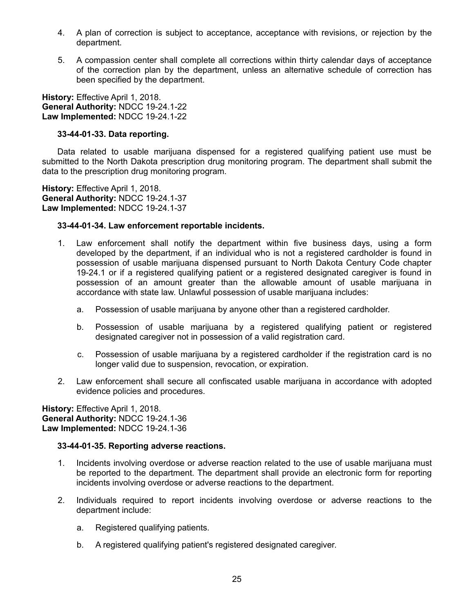- 4. A plan of correction is subject to acceptance, acceptance with revisions, or rejection by the department.
- 5. A compassion center shall complete all corrections within thirty calendar days of acceptance of the correction plan by the department, unless an alternative schedule of correction has been specified by the department.

# **33-44-01-33. Data reporting.**

Data related to usable marijuana dispensed for a registered qualifying patient use must be submitted to the North Dakota prescription drug monitoring program. The department shall submit the data to the prescription drug monitoring program.

**History:** Effective April 1, 2018. **General Authority:** NDCC 19-24.1-37 **Law Implemented:** NDCC 19-24.1-37

### **33-44-01-34. Law enforcement reportable incidents.**

- 1. Law enforcement shall notify the department within five business days, using a form developed by the department, if an individual who is not a registered cardholder is found in possession of usable marijuana dispensed pursuant to North Dakota Century Code chapter 19-24.1 or if a registered qualifying patient or a registered designated caregiver is found in possession of an amount greater than the allowable amount of usable marijuana in accordance with state law. Unlawful possession of usable marijuana includes:
	- a. Possession of usable marijuana by anyone other than a registered cardholder.
	- b. Possession of usable marijuana by a registered qualifying patient or registered designated caregiver not in possession of a valid registration card.
	- c. Possession of usable marijuana by a registered cardholder if the registration card is no longer valid due to suspension, revocation, or expiration.
- 2. Law enforcement shall secure all confiscated usable marijuana in accordance with adopted evidence policies and procedures.

**History:** Effective April 1, 2018. **General Authority:** NDCC 19-24.1-36 **Law Implemented:** NDCC 19-24.1-36

#### **33-44-01-35. Reporting adverse reactions.**

- 1. Incidents involving overdose or adverse reaction related to the use of usable marijuana must be reported to the department. The department shall provide an electronic form for reporting incidents involving overdose or adverse reactions to the department.
- 2. Individuals required to report incidents involving overdose or adverse reactions to the department include:
	- a. Registered qualifying patients.
	- b. A registered qualifying patient's registered designated caregiver.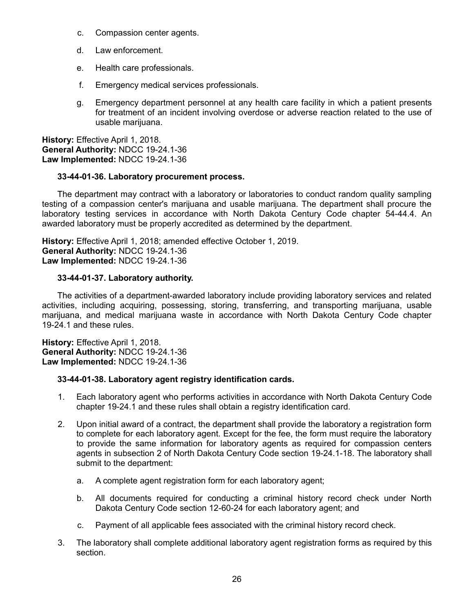- c. Compassion center agents.
- d. Law enforcement.
- e. Health care professionals.
- f. Emergency medical services professionals.
- g. Emergency department personnel at any health care facility in which a patient presents for treatment of an incident involving overdose or adverse reaction related to the use of usable marijuana.

### **33-44-01-36. Laboratory procurement process.**

The department may contract with a laboratory or laboratories to conduct random quality sampling testing of a compassion center's marijuana and usable marijuana. The department shall procure the laboratory testing services in accordance with North Dakota Century Code chapter 54-44.4. An awarded laboratory must be properly accredited as determined by the department.

**History:** Effective April 1, 2018; amended effective October 1, 2019. **General Authority:** NDCC 19-24.1-36 **Law Implemented:** NDCC 19-24.1-36

#### **33-44-01-37. Laboratory authority.**

The activities of a department-awarded laboratory include providing laboratory services and related activities, including acquiring, possessing, storing, transferring, and transporting marijuana, usable marijuana, and medical marijuana waste in accordance with North Dakota Century Code chapter 19-24.1 and these rules.

**History: Effective April 1, 2018. General Authority:** NDCC 19-24.1-36 **Law Implemented:** NDCC 19-24.1-36

#### **33-44-01-38. Laboratory agent registry identification cards.**

- 1. Each laboratory agent who performs activities in accordance with North Dakota Century Code chapter 19-24.1 and these rules shall obtain a registry identification card.
- 2. Upon initial award of a contract, the department shall provide the laboratory a registration form to complete for each laboratory agent. Except for the fee, the form must require the laboratory to provide the same information for laboratory agents as required for compassion centers agents in subsection 2 of North Dakota Century Code section 19-24.1-18. The laboratory shall submit to the department:
	- a. A complete agent registration form for each laboratory agent;
	- b. All documents required for conducting a criminal history record check under North Dakota Century Code section 12-60-24 for each laboratory agent; and
	- c. Payment of all applicable fees associated with the criminal history record check.
- 3. The laboratory shall complete additional laboratory agent registration forms as required by this section.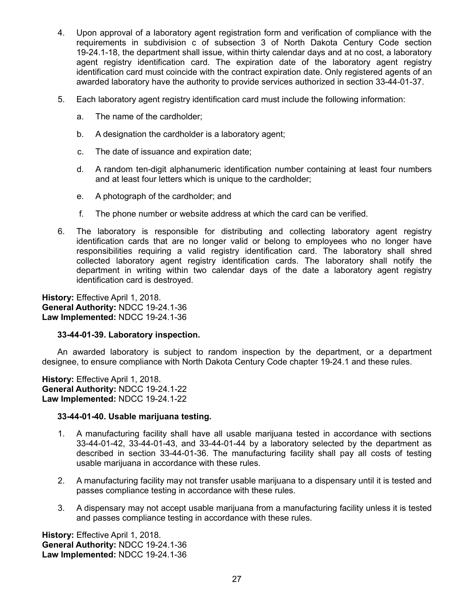- 4. Upon approval of a laboratory agent registration form and verification of compliance with the requirements in subdivision c of subsection 3 of North Dakota Century Code section 19-24.1-18, the department shall issue, within thirty calendar days and at no cost, a laboratory agent registry identification card. The expiration date of the laboratory agent registry identification card must coincide with the contract expiration date. Only registered agents of an awarded laboratory have the authority to provide services authorized in section 33-44-01-37.
- 5. Each laboratory agent registry identification card must include the following information:
	- a. The name of the cardholder;
	- b. A designation the cardholder is a laboratory agent;
	- c. The date of issuance and expiration date;
	- d. A random ten-digit alphanumeric identification number containing at least four numbers and at least four letters which is unique to the cardholder;
	- e. A photograph of the cardholder; and
	- f. The phone number or website address at which the card can be verified.
- 6. The laboratory is responsible for distributing and collecting laboratory agent registry identification cards that are no longer valid or belong to employees who no longer have responsibilities requiring a valid registry identification card. The laboratory shall shred collected laboratory agent registry identification cards. The laboratory shall notify the department in writing within two calendar days of the date a laboratory agent registry identification card is destroyed.

#### **33-44-01-39. Laboratory inspection.**

An awarded laboratory is subject to random inspection by the department, or a department designee, to ensure compliance with North Dakota Century Code chapter 19-24.1 and these rules.

**History:** Effective April 1, 2018. **General Authority:** NDCC 19-24.1-22 **Law Implemented:** NDCC 19-24.1-22

#### **33-44-01-40. Usable marijuana testing.**

- 1. A manufacturing facility shall have all usable marijuana tested in accordance with sections 33-44-01-42, 33-44-01-43, and 33-44-01-44 by a laboratory selected by the department as described in section 33-44-01-36. The manufacturing facility shall pay all costs of testing usable marijuana in accordance with these rules.
- 2. A manufacturing facility may not transfer usable marijuana to a dispensary until it is tested and passes compliance testing in accordance with these rules.
- 3. A dispensary may not accept usable marijuana from a manufacturing facility unless it is tested and passes compliance testing in accordance with these rules.

**History:** Effective April 1, 2018. **General Authority:** NDCC 19-24.1-36 **Law Implemented:** NDCC 19-24.1-36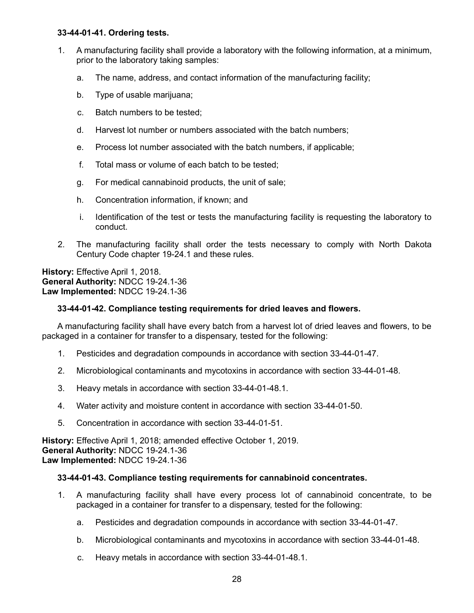### **33-44-01-41. Ordering tests.**

- 1. A manufacturing facility shall provide a laboratory with the following information, at a minimum, prior to the laboratory taking samples:
	- a. The name, address, and contact information of the manufacturing facility;
	- b. Type of usable marijuana;
	- c. Batch numbers to be tested;
	- d. Harvest lot number or numbers associated with the batch numbers;
	- e. Process lot number associated with the batch numbers, if applicable;
	- f. Total mass or volume of each batch to be tested;
	- g. For medical cannabinoid products, the unit of sale;
	- h. Concentration information, if known; and
	- i. Identification of the test or tests the manufacturing facility is requesting the laboratory to conduct.
- 2. The manufacturing facility shall order the tests necessary to comply with North Dakota Century Code chapter 19-24.1 and these rules.

**History:** Effective April 1, 2018. **General Authority:** NDCC 19-24.1-36 **Law Implemented:** NDCC 19-24.1-36

# **33-44-01-42. Compliance testing requirements for dried leaves and flowers.**

A manufacturing facility shall have every batch from a harvest lot of dried leaves and flowers, to be packaged in a container for transfer to a dispensary, tested for the following:

- 1. Pesticides and degradation compounds in accordance with section 33-44-01-47.
- 2. Microbiological contaminants and mycotoxins in accordance with section 33-44-01-48.
- 3. Heavy metals in accordance with section 33-44-01-48.1.
- 4. Water activity and moisture content in accordance with section 33-44-01-50.
- 5. Concentration in accordance with section 33-44-01-51.

**History:** Effective April 1, 2018; amended effective October 1, 2019. **General Authority:** NDCC 19-24.1-36 **Law Implemented:** NDCC 19-24.1-36

# **33-44-01-43. Compliance testing requirements for cannabinoid concentrates.**

- 1. A manufacturing facility shall have every process lot of cannabinoid concentrate, to be packaged in a container for transfer to a dispensary, tested for the following:
	- a. Pesticides and degradation compounds in accordance with section 33-44-01-47.
	- b. Microbiological contaminants and mycotoxins in accordance with section 33-44-01-48.
	- c. Heavy metals in accordance with section 33-44-01-48.1.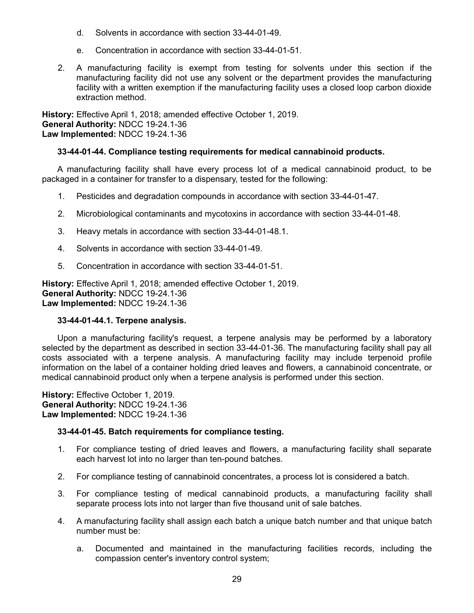- d. Solvents in accordance with section 33-44-01-49.
- e. Concentration in accordance with section 33-44-01-51.
- 2. A manufacturing facility is exempt from testing for solvents under this section if the manufacturing facility did not use any solvent or the department provides the manufacturing facility with a written exemption if the manufacturing facility uses a closed loop carbon dioxide extraction method.

**History:** Effective April 1, 2018; amended effective October 1, 2019. **General Authority:** NDCC 19-24.1-36 **Law Implemented:** NDCC 19-24.1-36

### **33-44-01-44. Compliance testing requirements for medical cannabinoid products.**

A manufacturing facility shall have every process lot of a medical cannabinoid product, to be packaged in a container for transfer to a dispensary, tested for the following:

- 1. Pesticides and degradation compounds in accordance with section 33-44-01-47.
- 2. Microbiological contaminants and mycotoxins in accordance with section 33-44-01-48.
- 3. Heavy metals in accordance with section 33-44-01-48.1.
- 4. Solvents in accordance with section 33-44-01-49.
- 5. Concentration in accordance with section 33-44-01-51.

**History:** Effective April 1, 2018; amended effective October 1, 2019. **General Authority:** NDCC 19-24.1-36 **Law Implemented:** NDCC 19-24.1-36

#### **33-44-01-44.1. Terpene analysis.**

Upon a manufacturing facility's request, a terpene analysis may be performed by a laboratory selected by the department as described in section 33-44-01-36. The manufacturing facility shall pay all costs associated with a terpene analysis. A manufacturing facility may include terpenoid profile information on the label of a container holding dried leaves and flowers, a cannabinoid concentrate, or medical cannabinoid product only when a terpene analysis is performed under this section.

**History:** Effective October 1, 2019. **General Authority:** NDCC 19-24.1-36 **Law Implemented:** NDCC 19-24.1-36

#### **33-44-01-45. Batch requirements for compliance testing.**

- 1. For compliance testing of dried leaves and flowers, a manufacturing facility shall separate each harvest lot into no larger than ten-pound batches.
- 2. For compliance testing of cannabinoid concentrates, a process lot is considered a batch.
- 3. For compliance testing of medical cannabinoid products, a manufacturing facility shall separate process lots into not larger than five thousand unit of sale batches.
- 4. A manufacturing facility shall assign each batch a unique batch number and that unique batch number must be:
	- a. Documented and maintained in the manufacturing facilities records, including the compassion center's inventory control system;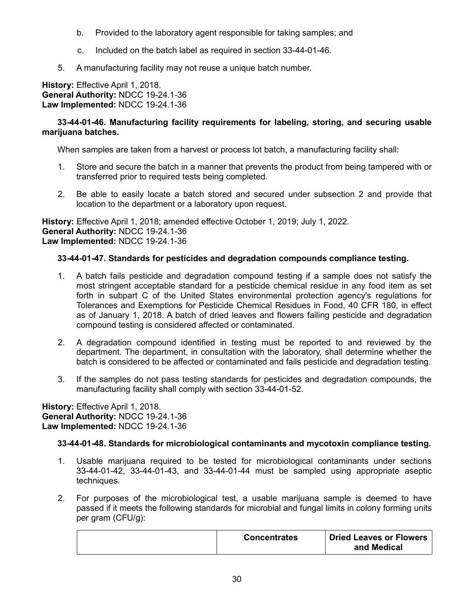- b. Provided to the laboratory agent responsible for taking samples; and
- c. Included on the batch label as required in section 33-44-01-46.
- 5. A manufacturing facility may not reuse a unique batch number.

# **33-44-01-46. Manufacturing facility requirements for labeling, storing, and securing usable marijuana batches.**

When samples are taken from a harvest or process lot batch, a manufacturing facility shall:

- 1. Store and secure the batch in a manner that prevents the product from being tampered with or transferred prior to required tests being completed.
- 2. Be able to easily locate a batch stored and secured under subsection 2 and provide that location to the department or a laboratory upon request.

**History:** Effective April 1, 2018; amended effective October 1, 2019; July 1, 2022. **General Authority:** NDCC 19-24.1-36 **Law Implemented:** NDCC 19-24.1-36

# **33-44-01-47. Standards for pesticides and degradation compounds compliance testing.**

- 1. A batch fails pesticide and degradation compound testing if a sample does not satisfy the most stringent acceptable standard for a pesticide chemical residue in any food item as set forth in subpart C of the United States environmental protection agency's regulations for Tolerances and Exemptions for Pesticide Chemical Residues in Food, 40 CFR 180, in effect as of January 1, 2018. A batch of dried leaves and flowers failing pesticide and degradation compound testing is considered affected or contaminated.
- 2. A degradation compound identified in testing must be reported to and reviewed by the department. The department, in consultation with the laboratory, shall determine whether the batch is considered to be affected or contaminated and fails pesticide and degradation testing.
- 3. If the samples do not pass testing standards for pesticides and degradation compounds, the manufacturing facility shall comply with section 33-44-01-52.

**History:** Effective April 1, 2018. **General Authority:** NDCC 19-24.1-36 **Law Implemented:** NDCC 19-24.1-36

# **33-44-01-48. Standards for microbiological contaminants and mycotoxin compliance testing.**

- 1. Usable marijuana required to be tested for microbiological contaminants under sections 33-44-01-42, 33-44-01-43, and 33-44-01-44 must be sampled using appropriate aseptic techniques.
- 2. For purposes of the microbiological test, a usable marijuana sample is deemed to have passed if it meets the following standards for microbial and fungal limits in colony forming units per gram (CFU/g):

|  | <b>Concentrates</b> | Dried Leaves or Flowers<br>and Medical |
|--|---------------------|----------------------------------------|
|--|---------------------|----------------------------------------|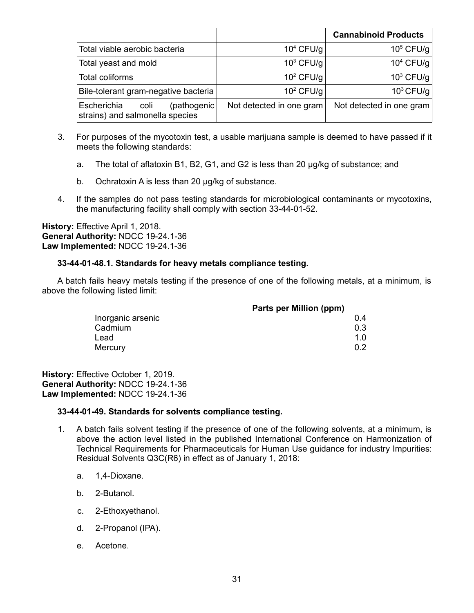|                                                                       |                          | <b>Cannabinoid Products</b> |
|-----------------------------------------------------------------------|--------------------------|-----------------------------|
| Total viable aerobic bacteria                                         | $104$ CFU/g              | $105$ CFU/g                 |
| Total yeast and mold                                                  | $103$ CFU/g              | $104$ CFU/g                 |
| Total coliforms                                                       | $10^2$ CFU/g             | $10^3$ CFU/g                |
| Bile-tolerant gram-negative bacteria                                  | $102$ CFU/g              | $10^3$ CFU/g                |
| Escherichia<br>(pathogenic<br>coli<br>strains) and salmonella species | Not detected in one gram | Not detected in one gram    |

- 3. For purposes of the mycotoxin test, a usable marijuana sample is deemed to have passed if it meets the following standards:
	- a. The total of aflatoxin B1, B2, G1, and G2 is less than 20 µg/kg of substance; and
	- b. Ochratoxin A is less than 20 µg/kg of substance.
- 4. If the samples do not pass testing standards for microbiological contaminants or mycotoxins, the manufacturing facility shall comply with section 33-44-01-52.

# **33-44-01-48.1. Standards for heavy metals compliance testing.**

A batch fails heavy metals testing if the presence of one of the following metals, at a minimum, is above the following listed limit:

| Inorganic arsenic | 04               |
|-------------------|------------------|
| Cadmium           | 0.3              |
| Lead              | 1.0 <sub>1</sub> |
| Mercury           | $0.2^{\circ}$    |

**History:** Effective October 1, 2019. **General Authority:** NDCC 19-24.1-36 **Law Implemented:** NDCC 19-24.1-36

# **33-44-01-49. Standards for solvents compliance testing.**

- 1. A batch fails solvent testing if the presence of one of the following solvents, at a minimum, is above the action level listed in the published International Conference on Harmonization of Technical Requirements for Pharmaceuticals for Human Use guidance for industry Impurities: Residual Solvents Q3C(R6) in effect as of January 1, 2018:
	- a. 1,4-Dioxane.
	- b. 2-Butanol.
	- c. 2-Ethoxyethanol.
	- d. 2-Propanol (IPA).
	- e. Acetone.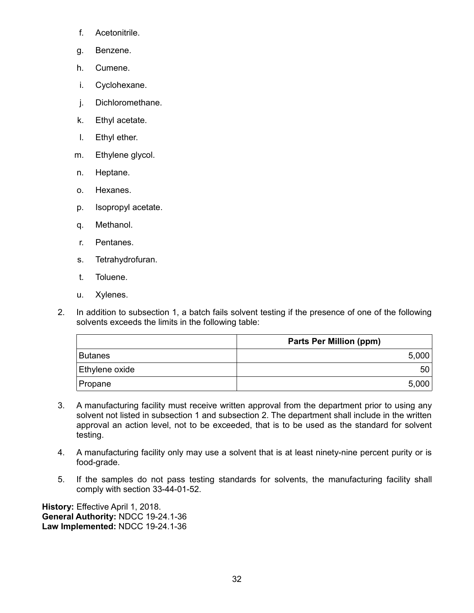- f. Acetonitrile.
- g. Benzene.
- h. Cumene.
- i. Cyclohexane.
- j. Dichloromethane.
- k. Ethyl acetate.
- l. Ethyl ether.
- m. Ethylene glycol.
- n. Heptane.
- o. Hexanes.
- p. Isopropyl acetate.
- q. Methanol.
- r. Pentanes.
- s. Tetrahydrofuran.
- t. Toluene.
- u. Xylenes.
- 2. In addition to subsection 1, a batch fails solvent testing if the presence of one of the following solvents exceeds the limits in the following table:

|                | <b>Parts Per Million (ppm)</b> |
|----------------|--------------------------------|
| <b>Butanes</b> | 5,000                          |
| Ethylene oxide | 50                             |
| Propane        | 5,000                          |

- 3. A manufacturing facility must receive written approval from the department prior to using any solvent not listed in subsection 1 and subsection 2. The department shall include in the written approval an action level, not to be exceeded, that is to be used as the standard for solvent testing.
- 4. A manufacturing facility only may use a solvent that is at least ninety-nine percent purity or is food-grade.
- 5. If the samples do not pass testing standards for solvents, the manufacturing facility shall comply with section 33-44-01-52.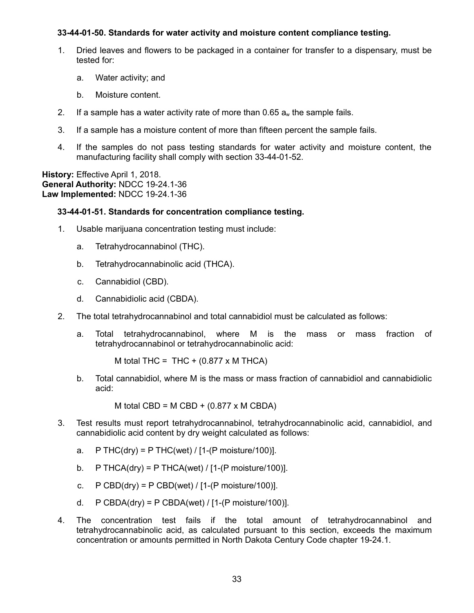### **33-44-01-50. Standards for water activity and moisture content compliance testing.**

- 1. Dried leaves and flowers to be packaged in a container for transfer to a dispensary, must be tested for:
	- a. Water activity; and
	- b. Moisture content.
- 2. If a sample has a water activity rate of more than 0.65  $a_w$  the sample fails.
- 3. If a sample has a moisture content of more than fifteen percent the sample fails.
- 4. If the samples do not pass testing standards for water activity and moisture content, the manufacturing facility shall comply with section 33-44-01-52.

**History:** Effective April 1, 2018. **General Authority:** NDCC 19-24.1-36 **Law Implemented:** NDCC 19-24.1-36

### **33-44-01-51. Standards for concentration compliance testing.**

- 1. Usable marijuana concentration testing must include:
	- a. Tetrahydrocannabinol (THC).
	- b. Tetrahydrocannabinolic acid (THCA).
	- c. Cannabidiol (CBD).
	- d. Cannabidiolic acid (CBDA).
- 2. The total tetrahydrocannabinol and total cannabidiol must be calculated as follows:
	- a. Total tetrahydrocannabinol, where M is the mass or mass fraction of tetrahydrocannabinol or tetrahydrocannabinolic acid:

M total THC = THC +  $(0.877 \times M)$  THCA)

b. Total cannabidiol, where M is the mass or mass fraction of cannabidiol and cannabidiolic acid:

M total CBD =  $M$  CBD + (0.877 x M CBDA)

- 3. Test results must report tetrahydrocannabinol, tetrahydrocannabinolic acid, cannabidiol, and cannabidiolic acid content by dry weight calculated as follows:
	- a.  $P \text{THC(dry)} = P \text{THC(wet)} / [1-(P \text{ moisture}/100)].$
	- b. P THCA(dry) = P THCA(wet) /  $[1-(P \text{ moisture}/100)]$ .
	- c.  $P$  CBD(dry) = P CBD(wet) / [1-(P moisture/100)].
	- d.  $P$  CBDA(dry) = P CBDA(wet) / [1-(P moisture/100)].
- 4. The concentration test fails if the total amount of tetrahydrocannabinol and tetrahydrocannabinolic acid, as calculated pursuant to this section, exceeds the maximum concentration or amounts permitted in North Dakota Century Code chapter 19-24.1.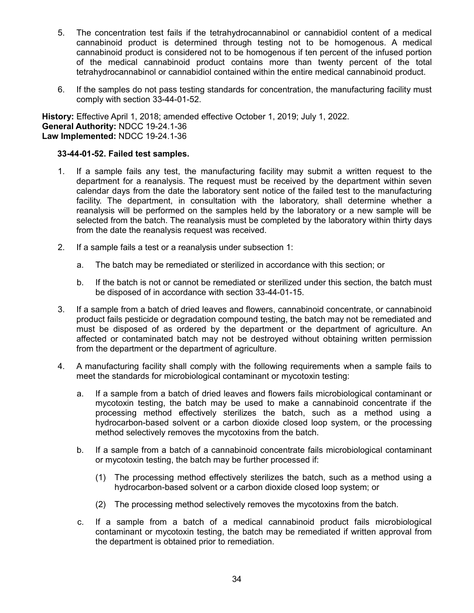- 5. The concentration test fails if the tetrahydrocannabinol or cannabidiol content of a medical cannabinoid product is determined through testing not to be homogenous. A medical cannabinoid product is considered not to be homogenous if ten percent of the infused portion of the medical cannabinoid product contains more than twenty percent of the total tetrahydrocannabinol or cannabidiol contained within the entire medical cannabinoid product.
- 6. If the samples do not pass testing standards for concentration, the manufacturing facility must comply with section 33-44-01-52.

**History:** Effective April 1, 2018; amended effective October 1, 2019; July 1, 2022. **General Authority:** NDCC 19-24.1-36 **Law Implemented:** NDCC 19-24.1-36

### **33-44-01-52. Failed test samples.**

- 1. If a sample fails any test, the manufacturing facility may submit a written request to the department for a reanalysis. The request must be received by the department within seven calendar days from the date the laboratory sent notice of the failed test to the manufacturing facility. The department, in consultation with the laboratory, shall determine whether a reanalysis will be performed on the samples held by the laboratory or a new sample will be selected from the batch. The reanalysis must be completed by the laboratory within thirty days from the date the reanalysis request was received.
- 2. If a sample fails a test or a reanalysis under subsection 1:
	- a. The batch may be remediated or sterilized in accordance with this section; or
	- b. If the batch is not or cannot be remediated or sterilized under this section, the batch must be disposed of in accordance with section 33-44-01-15.
- 3. If a sample from a batch of dried leaves and flowers, cannabinoid concentrate, or cannabinoid product fails pesticide or degradation compound testing, the batch may not be remediated and must be disposed of as ordered by the department or the department of agriculture. An affected or contaminated batch may not be destroyed without obtaining written permission from the department or the department of agriculture.
- 4. A manufacturing facility shall comply with the following requirements when a sample fails to meet the standards for microbiological contaminant or mycotoxin testing:
	- a. If a sample from a batch of dried leaves and flowers fails microbiological contaminant or mycotoxin testing, the batch may be used to make a cannabinoid concentrate if the processing method effectively sterilizes the batch, such as a method using a hydrocarbon-based solvent or a carbon dioxide closed loop system, or the processing method selectively removes the mycotoxins from the batch.
	- b. If a sample from a batch of a cannabinoid concentrate fails microbiological contaminant or mycotoxin testing, the batch may be further processed if:
		- (1) The processing method effectively sterilizes the batch, such as a method using a hydrocarbon-based solvent or a carbon dioxide closed loop system; or
		- (2) The processing method selectively removes the mycotoxins from the batch.
	- c. If a sample from a batch of a medical cannabinoid product fails microbiological contaminant or mycotoxin testing, the batch may be remediated if written approval from the department is obtained prior to remediation.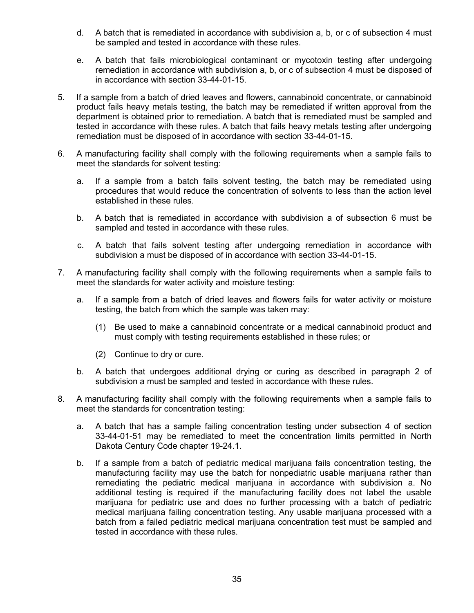- d. A batch that is remediated in accordance with subdivision a, b, or c of subsection 4 must be sampled and tested in accordance with these rules.
- e. A batch that fails microbiological contaminant or mycotoxin testing after undergoing remediation in accordance with subdivision a, b, or c of subsection 4 must be disposed of in accordance with section 33-44-01-15.
- 5. If a sample from a batch of dried leaves and flowers, cannabinoid concentrate, or cannabinoid product fails heavy metals testing, the batch may be remediated if written approval from the department is obtained prior to remediation. A batch that is remediated must be sampled and tested in accordance with these rules. A batch that fails heavy metals testing after undergoing remediation must be disposed of in accordance with section 33-44-01-15.
- 6. A manufacturing facility shall comply with the following requirements when a sample fails to meet the standards for solvent testing:
	- a. If a sample from a batch fails solvent testing, the batch may be remediated using procedures that would reduce the concentration of solvents to less than the action level established in these rules.
	- b. A batch that is remediated in accordance with subdivision a of subsection 6 must be sampled and tested in accordance with these rules.
	- c. A batch that fails solvent testing after undergoing remediation in accordance with subdivision a must be disposed of in accordance with section 33-44-01-15.
- 7. A manufacturing facility shall comply with the following requirements when a sample fails to meet the standards for water activity and moisture testing:
	- a. If a sample from a batch of dried leaves and flowers fails for water activity or moisture testing, the batch from which the sample was taken may:
		- (1) Be used to make a cannabinoid concentrate or a medical cannabinoid product and must comply with testing requirements established in these rules; or
		- (2) Continue to dry or cure.
	- b. A batch that undergoes additional drying or curing as described in paragraph 2 of subdivision a must be sampled and tested in accordance with these rules.
- 8. A manufacturing facility shall comply with the following requirements when a sample fails to meet the standards for concentration testing:
	- a. A batch that has a sample failing concentration testing under subsection 4 of section 33-44-01-51 may be remediated to meet the concentration limits permitted in North Dakota Century Code chapter 19-24.1.
	- b. If a sample from a batch of pediatric medical marijuana fails concentration testing, the manufacturing facility may use the batch for nonpediatric usable marijuana rather than remediating the pediatric medical marijuana in accordance with subdivision a. No additional testing is required if the manufacturing facility does not label the usable marijuana for pediatric use and does no further processing with a batch of pediatric medical marijuana failing concentration testing. Any usable marijuana processed with a batch from a failed pediatric medical marijuana concentration test must be sampled and tested in accordance with these rules.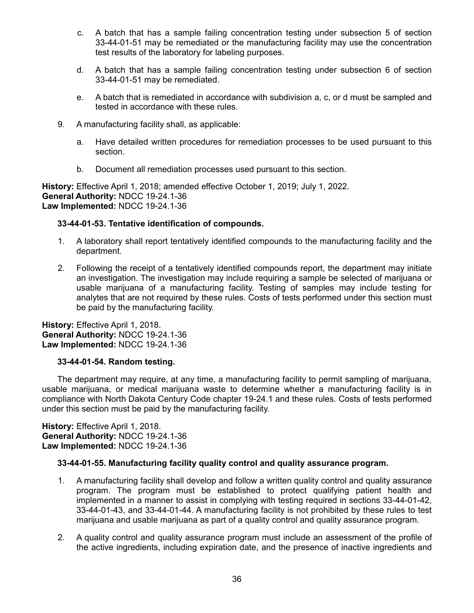- c. A batch that has a sample failing concentration testing under subsection 5 of section 33-44-01-51 may be remediated or the manufacturing facility may use the concentration test results of the laboratory for labeling purposes.
- d. A batch that has a sample failing concentration testing under subsection 6 of section 33-44-01-51 may be remediated.
- e. A batch that is remediated in accordance with subdivision a, c, or d must be sampled and tested in accordance with these rules.
- 9. A manufacturing facility shall, as applicable:
	- a. Have detailed written procedures for remediation processes to be used pursuant to this section.
	- b. Document all remediation processes used pursuant to this section.

**History:** Effective April 1, 2018; amended effective October 1, 2019; July 1, 2022. **General Authority:** NDCC 19-24.1-36 **Law Implemented:** NDCC 19-24.1-36

# **33-44-01-53. Tentative identification of compounds.**

- 1. A laboratory shall report tentatively identified compounds to the manufacturing facility and the department.
- 2. Following the receipt of a tentatively identified compounds report, the department may initiate an investigation. The investigation may include requiring a sample be selected of marijuana or usable marijuana of a manufacturing facility. Testing of samples may include testing for analytes that are not required by these rules. Costs of tests performed under this section must be paid by the manufacturing facility.

**History:** Effective April 1, 2018. **General Authority:** NDCC 19-24.1-36 **Law Implemented:** NDCC 19-24.1-36

# **33-44-01-54. Random testing.**

The department may require, at any time, a manufacturing facility to permit sampling of marijuana, usable marijuana, or medical marijuana waste to determine whether a manufacturing facility is in compliance with North Dakota Century Code chapter 19-24.1 and these rules. Costs of tests performed under this section must be paid by the manufacturing facility.

**History:** Effective April 1, 2018. **General Authority:** NDCC 19-24.1-36 **Law Implemented:** NDCC 19-24.1-36

# **33-44-01-55. Manufacturing facility quality control and quality assurance program.**

- 1. A manufacturing facility shall develop and follow a written quality control and quality assurance program. The program must be established to protect qualifying patient health and implemented in a manner to assist in complying with testing required in sections 33-44-01-42, 33-44-01-43, and 33-44-01-44. A manufacturing facility is not prohibited by these rules to test marijuana and usable marijuana as part of a quality control and quality assurance program.
- 2. A quality control and quality assurance program must include an assessment of the profile of the active ingredients, including expiration date, and the presence of inactive ingredients and